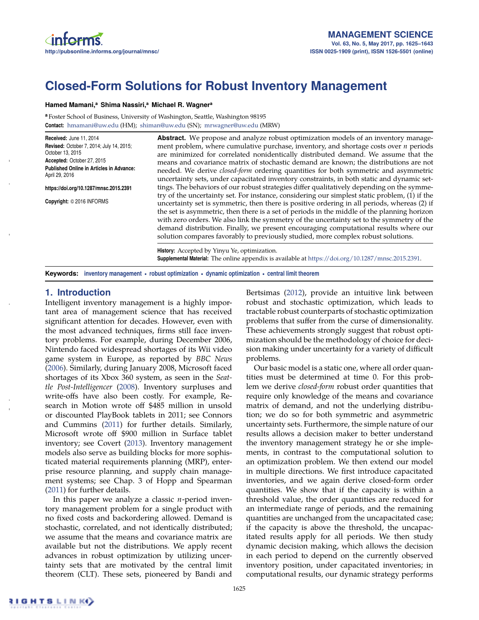# **Closed-Form Solutions for Robust Inventory Management**

#### **Hamed Mamani,a Shima Nassiri,a Michael R. Wagnera**

**<sup>a</sup>** Foster School of Business, University of Washington, Seattle, Washington 98195 **Contact:** hmamani@uw.edu (HM); shiman@uw.edu (SN); mrwagner@uw.edu (MRW)

| Received: June 11, 2014<br><b>Revised: October 7, 2014; July 14, 2015;</b><br>October 13, 2015<br>Accepted: October 27, 2015<br><b>Published Online in Articles in Advance:</b><br>April 29, 2016<br>https://doi.org/10.1287/mnsc.2015.2391<br>Copyright: © 2016 INFORMS | <b>Abstract.</b> We propose and analyze robust optimization models of an inventory manage-<br>ment problem, where cumulative purchase, inventory, and shortage costs over $n$ periods<br>are minimized for correlated nonidentically distributed demand. We assume that the<br>means and covariance matrix of stochastic demand are known; the distributions are not<br>needed. We derive <i>closed-form</i> ordering quantities for both symmetric and asymmetric<br>uncertainty sets, under capacitated inventory constraints, in both static and dynamic set-<br>tings. The behaviors of our robust strategies differ qualitatively depending on the symme-<br>try of the uncertainty set. For instance, considering our simplest static problem, (1) if the<br>uncertainty set is symmetric, then there is positive ordering in all periods, whereas (2) if<br>the set is asymmetric, then there is a set of periods in the middle of the planning horizon<br>with zero orders. We also link the symmetry of the uncertainty set to the symmetry of the<br>demand distribution. Finally, we present encouraging computational results where our<br>solution compares favorably to previously studied, more complex robust solutions. |
|--------------------------------------------------------------------------------------------------------------------------------------------------------------------------------------------------------------------------------------------------------------------------|------------------------------------------------------------------------------------------------------------------------------------------------------------------------------------------------------------------------------------------------------------------------------------------------------------------------------------------------------------------------------------------------------------------------------------------------------------------------------------------------------------------------------------------------------------------------------------------------------------------------------------------------------------------------------------------------------------------------------------------------------------------------------------------------------------------------------------------------------------------------------------------------------------------------------------------------------------------------------------------------------------------------------------------------------------------------------------------------------------------------------------------------------------------------------------------------------------------------------------------|
|                                                                                                                                                                                                                                                                          | $11!$ $11!$ $11!$ $11!$ $11!$ $11!$ $11!$ $11!$ $11!$ $11!$ $11!$ $11!$ $11!$ $11!$ $11!$ $11!$ $11!$ $11!$ $11!$ $11!$ $11!$ $11!$ $11!$ $11!$ $11!$ $11!$ $11!$ $11!$ $11!$ $11!$ $11!$ $11!$ $11!$ $11!$ $11!$ $11!$ $11!$                                                                                                                                                                                                                                                                                                                                                                                                                                                                                                                                                                                                                                                                                                                                                                                                                                                                                                                                                                                                            |

**History:** Accepted by Yinyu Ye, optimization. **Supplemental Material:** The online appendix is available at https://doi.org/10.1287/mnsc.2015.2391.

**Keywords: inventory management • robust optimization • dynamic optimization • central limit theorem**

## **1. Introduction**

Intelligent inventory management is a highly important area of management science that has received significant attention for decades. However, even with the most advanced techniques, firms still face inventory problems. For example, during December 2006, Nintendo faced widespread shortages of its Wii video game system in Europe, as reported by *BBC News* (2006). Similarly, during January 2008, Microsoft faced shortages of its Xbox 360 system, as seen in the *Seattle Post-Intelligencer* (2008). Inventory surpluses and write-offs have also been costly. For example, Research in Motion wrote off \$485 million in unsold or discounted PlayBook tablets in 2011; see Connors and Cummins (2011) for further details. Similarly, Microsoft wrote off \$900 million in Surface tablet inventory; see Covert (2013). Inventory management models also serve as building blocks for more sophisticated material requirements planning (MRP), enterprise resource planning, and supply chain management systems; see Chap. 3 of Hopp and Spearman (2011) for further details.

In this paper we analyze a classic *n*-period inventory management problem for a single product with no fixed costs and backordering allowed. Demand is stochastic, correlated, and not identically distributed; we assume that the means and covariance matrix are available but not the distributions. We apply recent advances in robust optimization by utilizing uncertainty sets that are motivated by the central limit theorem (CLT). These sets, pioneered by Bandi and Bertsimas (2012), provide an intuitive link between robust and stochastic optimization, which leads to tractable robust counterparts of stochastic optimization problems that suffer from the curse of dimensionality. These achievements strongly suggest that robust optimization should be the methodology of choice for decision making under uncertainty for a variety of difficult problems.

Our basic model is a static one, where all order quantities must be determined at time 0. For this problem we derive *closed-form* robust order quantities that require only knowledge of the means and covariance matrix of demand, and not the underlying distribution; we do so for both symmetric and asymmetric uncertainty sets. Furthermore, the simple nature of our results allows a decision maker to better understand the inventory management strategy he or she implements, in contrast to the computational solution to an optimization problem. We then extend our model in multiple directions. We first introduce capacitated inventories, and we again derive closed-form order quantities. We show that if the capacity is within a threshold value, the order quantities are reduced for an intermediate range of periods, and the remaining quantities are unchanged from the uncapacitated case; if the capacity is above the threshold, the uncapacitated results apply for all periods. We then study dynamic decision making, which allows the decision in each period to depend on the currently observed inventory position, under capacitated inventories; in computational results, our dynamic strategy performs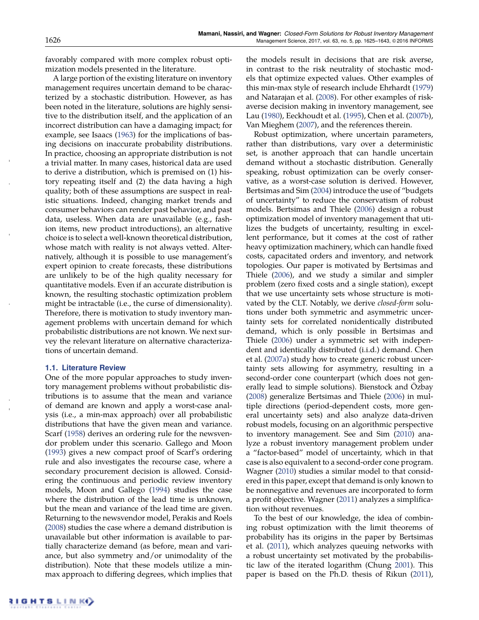favorably compared with more complex robust optimization models presented in the literature.

A large portion of the existing literature on inventory management requires uncertain demand to be characterized by a stochastic distribution. However, as has been noted in the literature, solutions are highly sensitive to the distribution itself, and the application of an incorrect distribution can have a damaging impact; for example, see Isaacs (1963) for the implications of basing decisions on inaccurate probability distributions. In practice, choosing an appropriate distribution is not a trivial matter. In many cases, historical data are used to derive a distribution, which is premised on (1) history repeating itself and (2) the data having a high quality; both of these assumptions are suspect in realistic situations. Indeed, changing market trends and consumer behaviors can render past behavior, and past data, useless. When data are unavailable (e.g., fashion items, new product introductions), an alternative choice is to select a well-known theoretical distribution, whose match with reality is not always vetted. Alternatively, although it is possible to use management's expert opinion to create forecasts, these distributions are unlikely to be of the high quality necessary for quantitative models. Even if an accurate distribution is known, the resulting stochastic optimization problem might be intractable (i.e., the curse of dimensionality). Therefore, there is motivation to study inventory management problems with uncertain demand for which probabilistic distributions are not known. We next survey the relevant literature on alternative characterizations of uncertain demand.

#### **1.1. Literature Review**

One of the more popular approaches to study inventory management problems without probabilistic distributions is to assume that the mean and variance of demand are known and apply a worst-case analysis (i.e., a min-max approach) over all probabilistic distributions that have the given mean and variance. Scarf (1958) derives an ordering rule for the newsvendor problem under this scenario. Gallego and Moon (1993) gives a new compact proof of Scarf's ordering rule and also investigates the recourse case, where a secondary procurement decision is allowed. Considering the continuous and periodic review inventory models, Moon and Gallego (1994) studies the case where the distribution of the lead time is unknown, but the mean and variance of the lead time are given. Returning to the newsvendor model, Perakis and Roels (2008) studies the case where a demand distribution is unavailable but other information is available to partially characterize demand (as before, mean and variance, but also symmetry and/or unimodality of the distribution). Note that these models utilize a minmax approach to differing degrees, which implies that

the models result in decisions that are risk averse, in contrast to the risk neutrality of stochastic models that optimize expected values. Other examples of this min-max style of research include Ehrhardt (1979) and Natarajan et al. (2008). For other examples of riskaverse decision making in inventory management, see Lau (1980), Eeckhoudt et al. (1995), Chen et al. (2007b), Van Mieghem (2007), and the references therein.

Robust optimization, where uncertain parameters, rather than distributions, vary over a deterministic set, is another approach that can handle uncertain demand without a stochastic distribution. Generally speaking, robust optimization can be overly conservative, as a worst-case solution is derived. However, Bertsimas and Sim (2004) introduce the use of "budgets of uncertainty" to reduce the conservatism of robust models. Bertsimas and Thiele (2006) design a robust optimization model of inventory management that utilizes the budgets of uncertainty, resulting in excellent performance, but it comes at the cost of rather heavy optimization machinery, which can handle fixed costs, capacitated orders and inventory, and network topologies. Our paper is motivated by Bertsimas and Thiele (2006), and we study a similar and simpler problem (zero fixed costs and a single station), except that we use uncertainty sets whose structure is motivated by the CLT. Notably, we derive *closed-form* solutions under both symmetric and asymmetric uncertainty sets for correlated nonidentically distributed demand, which is only possible in Bertsimas and Thiele (2006) under a symmetric set with independent and identically distributed (i.i.d.) demand. Chen et al. (2007a) study how to create generic robust uncertainty sets allowing for asymmetry, resulting in a second-order cone counterpart (which does not generally lead to simple solutions). Bienstock and Özbay (2008) generalize Bertsimas and Thiele (2006) in multiple directions (period-dependent costs, more general uncertainty sets) and also analyze data-driven robust models, focusing on an algorithmic perspective to inventory management. See and Sim (2010) analyze a robust inventory management problem under a "factor-based" model of uncertainty, which in that case is also equivalent to a second-order cone program. Wagner (2010) studies a similar model to that considered in this paper, except that demand is only known to be nonnegative and revenues are incorporated to form a profit objective. Wagner (2011) analyzes a simplification without revenues.

To the best of our knowledge, the idea of combining robust optimization with the limit theorems of probability has its origins in the paper by Bertsimas et al. (2011), which analyzes queuing networks with a robust uncertainty set motivated by the probabilistic law of the iterated logarithm (Chung 2001). This paper is based on the Ph.D. thesis of Rikun (2011),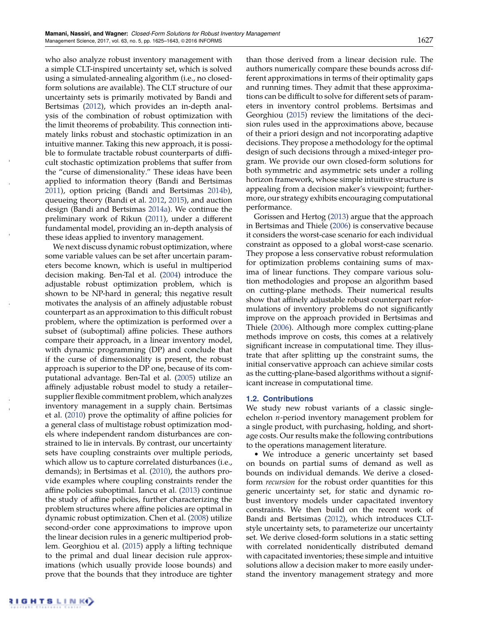who also analyze robust inventory management with a simple CLT-inspired uncertainty set, which is solved using a simulated-annealing algorithm (i.e., no closedform solutions are available). The CLT structure of our uncertainty sets is primarily motivated by Bandi and Bertsimas (2012), which provides an in-depth analysis of the combination of robust optimization with the limit theorems of probability. This connection intimately links robust and stochastic optimization in an intuitive manner. Taking this new approach, it is possible to formulate tractable robust counterparts of difficult stochastic optimization problems that suffer from the "curse of dimensionality." These ideas have been applied to information theory (Bandi and Bertsimas 2011), option pricing (Bandi and Bertsimas 2014b), queueing theory (Bandi et al. 2012, 2015), and auction design (Bandi and Bertsimas 2014a). We continue the preliminary work of Rikun (2011), under a different fundamental model, providing an in-depth analysis of these ideas applied to inventory management.

We next discuss dynamic robust optimization, where some variable values can be set after uncertain parameters become known, which is useful in multiperiod decision making. Ben-Tal et al. (2004) introduce the adjustable robust optimization problem, which is shown to be NP-hard in general; this negative result motivates the analysis of an affinely adjustable robust counterpart as an approximation to this difficult robust problem, where the optimization is performed over a subset of (suboptimal) affine policies. These authors compare their approach, in a linear inventory model, with dynamic programming (DP) and conclude that if the curse of dimensionality is present, the robust approach is superior to the DP one, because of its computational advantage. Ben-Tal et al. (2005) utilize an affinely adjustable robust model to study a retailer– supplier flexible commitment problem, which analyzes inventory management in a supply chain. Bertsimas et al. (2010) prove the optimality of affine policies for a general class of multistage robust optimization models where independent random disturbances are constrained to lie in intervals. By contrast, our uncertainty sets have coupling constraints over multiple periods, which allow us to capture correlated disturbances (i.e., demands); in Bertsimas et al. (2010), the authors provide examples where coupling constraints render the affine policies suboptimal. Iancu et al. (2013) continue the study of affine policies, further characterizing the problem structures where affine policies are optimal in dynamic robust optimization. Chen et al. (2008) utilize second-order cone approximations to improve upon the linear decision rules in a generic multiperiod problem. Georghiou et al. (2015) apply a lifting technique to the primal and dual linear decision rule approximations (which usually provide loose bounds) and prove that the bounds that they introduce are tighter

than those derived from a linear decision rule. The authors numerically compare these bounds across different approximations in terms of their optimality gaps and running times. They admit that these approximations can be difficult to solve for different sets of parameters in inventory control problems. Bertsimas and Georghiou (2015) review the limitations of the decision rules used in the approximations above, because of their a priori design and not incorporating adaptive decisions. They propose a methodology for the optimal design of such decisions through a mixed-integer program. We provide our own closed-form solutions for both symmetric and asymmetric sets under a rolling horizon framework, whose simple intuitive structure is appealing from a decision maker's viewpoint; furthermore, our strategy exhibits encouraging computational performance.

Gorissen and Hertog (2013) argue that the approach in Bertsimas and Thiele (2006) is conservative because it considers the worst-case scenario for each individual constraint as opposed to a global worst-case scenario. They propose a less conservative robust reformulation for optimization problems containing sums of maxima of linear functions. They compare various solution methodologies and propose an algorithm based on cutting-plane methods. Their numerical results show that affinely adjustable robust counterpart reformulations of inventory problems do not significantly improve on the approach provided in Bertsimas and Thiele (2006). Although more complex cutting-plane methods improve on costs, this comes at a relatively significant increase in computational time. They illustrate that after splitting up the constraint sums, the initial conservative approach can achieve similar costs as the cutting-plane-based algorithms without a significant increase in computational time.

#### **1.2. Contributions**

We study new robust variants of a classic singleechelon *n*-period inventory management problem for a single product, with purchasing, holding, and shortage costs. Our results make the following contributions to the operations management literature.

• We introduce a generic uncertainty set based on bounds on partial sums of demand as well as bounds on individual demands. We derive a closedform *recursion* for the robust order quantities for this generic uncertainty set, for static and dynamic robust inventory models under capacitated inventory constraints. We then build on the recent work of Bandi and Bertsimas (2012), which introduces CLTstyle uncertainty sets, to parameterize our uncertainty set. We derive closed-form solutions in a static setting with correlated nonidentically distributed demand with capacitated inventories; these simple and intuitive solutions allow a decision maker to more easily understand the inventory management strategy and more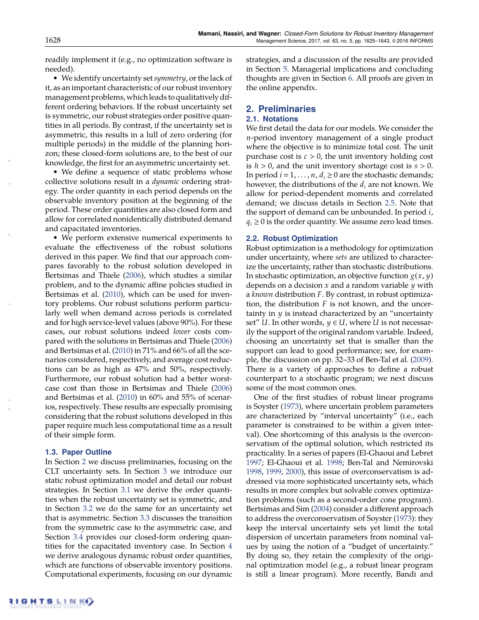readily implement it (e.g., no optimization software is needed).

• We identify uncertainty set*symmetry*, or the lack of it, as an important characteristic of our robust inventory management problems, whichleads to qualitatively different ordering behaviors. If the robust uncertainty set is symmetric, our robust strategies order positive quantities in all periods. By contrast, if the uncertainty set is asymmetric, this results in a lull of zero ordering (for multiple periods) in the middle of the planning horizon; these closed-form solutions are, to the best of our knowledge, the first for an asymmetric uncertainty set.

• We define a sequence of static problems whose collective solutions result in a *dynamic* ordering strategy. The order quantity in each period depends on the observable inventory position at the beginning of the period. These order quantities are also closed form and allow for correlated nonidentically distributed demand and capacitated inventories.

• We perform extensive numerical experiments to evaluate the effectiveness of the robust solutions derived in this paper. We find that our approach compares favorably to the robust solution developed in Bertsimas and Thiele (2006), which studies a similar problem, and to the dynamic affine policies studied in Bertsimas et al. (2010), which can be used for inventory problems. Our robust solutions perform particularly well when demand across periods is correlated and for high service-level values (above 90%). For these cases, our robust solutions indeed *lower* costs compared with the solutions in Bertsimas and Thiele (2006) and Bertsimas et al. (2010) in 71% and 66% of all the scenarios considered, respectively, and average cost reductions can be as high as 47% and 50%, respectively. Furthermore, our robust solution had a better worstcase cost than those in Bertsimas and Thiele (2006) and Bertsimas et al. (2010) in 60% and 55% of scenarios, respectively. These results are especially promising considering that the robust solutions developed in this paper require much less computational time as a result of their simple form.

#### **1.3. Paper Outline**

In Section 2 we discuss preliminaries, focusing on the CLT uncertainty sets. In Section 3 we introduce our static robust optimization model and detail our robust strategies. In Section 3.1 we derive the order quantities when the robust uncertainty set is symmetric, and in Section 3.2 we do the same for an uncertainty set that is asymmetric. Section 3.3 discusses the transition from the symmetric case to the asymmetric case, and Section 3.4 provides our closed-form ordering quantities for the capacitated inventory case. In Section 4 we derive analogous dynamic robust order quantities, which are functions of observable inventory positions. Computational experiments, focusing on our dynamic strategies, and a discussion of the results are provided in Section 5. Managerial implications and concluding thoughts are given in Section 6. All proofs are given in the online appendix.

## **2. Preliminaries 2.1. Notations**

We first detail the data for our models. We consider the *n*-period inventory management of a single product where the objective is to minimize total cost. The unit purchase cost is  $c > 0$ , the unit inventory holding cost is  $h > 0$ , and the unit inventory shortage cost is  $s > 0$ . In period  $i = 1, \ldots, n$ ,  $d_i \geq 0$  are the stochastic demands; however, the distributions of the *di* are not known. We allow for period-dependent moments and correlated demand; we discuss details in Section 2.5. Note that the support of demand can be unbounded. In period *i*,  $q_i \geq 0$  is the order quantity. We assume zero lead times.

#### **2.2. Robust Optimization**

Robust optimization is a methodology for optimization under uncertainty, where *sets* are utilized to characterize the uncertainty, rather than stochastic distributions. In stochastic optimization, an objective function  $g(x, y)$ depends on a decision *x* and a random variable *y* with a *known* distribution *F*. By contrast, in robust optimization, the distribution *F* is not known, and the uncertainty in  $y$  is instead characterized by an "uncertainty" set"  $U$ . In other words,  $y \in U$ , where  $U$  is not necessarily the support of the original random variable. Indeed, choosing an uncertainty set that is smaller than the support can lead to good performance; see, for example, the discussion on pp. 32–33 of Ben-Tal et al. (2009). There is a variety of approaches to define a robust counterpart to a stochastic program; we next discuss some of the most common ones.

One of the first studies of robust linear programs is Soyster (1973), where uncertain problem parameters are characterized by "interval uncertainty" (i.e., each parameter is constrained to be within a given interval). One shortcoming of this analysis is the overconservatism of the optimal solution, which restricted its practicality. In a series of papers (El-Ghaoui and Lebret 1997; El-Ghaoui et al. 1998; Ben-Tal and Nemirovski 1998, 1999, 2000), this issue of overconservatism is addressed via more sophisticated uncertainty sets, which results in more complex but solvable convex optimization problems (such as a second-order cone program). Bertsimas and Sim (2004) consider a different approach to address the overconservatism of Soyster (1973): they keep the interval uncertainty sets yet limit the total dispersion of uncertain parameters from nominal values by using the notion of a "budget of uncertainty." By doing so, they retain the complexity of the original optimization model (e.g., a robust linear program is still a linear program). More recently, Bandi and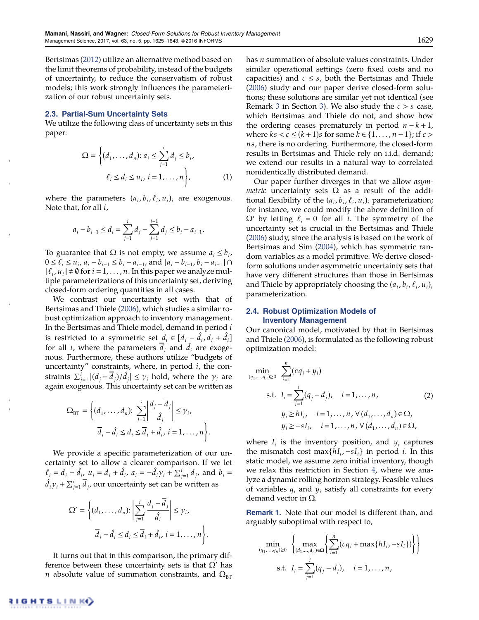Bertsimas (2012) utilize an alternative method based on the limit theorems of probability, instead of the budgets of uncertainty, to reduce the conservatism of robust models; this work strongly influences the parameterization of our robust uncertainty sets.

#### **2.3. Partial-Sum Uncertainty Sets**

We utilize the following class of uncertainty sets in this paper:

$$
\Omega = \left\{ (d_1, \dots, d_n) : a_i \le \sum_{j=1}^i d_j \le b_i, \ell_i \le d_i \le u_i, i = 1, \dots, n \right\},\tag{1}
$$

where the parameters  $(a_i, b_i, \ell_i, u_i)_i$  are exogenous. Note that, for all *i*,

$$
a_i - b_{i-1} \le d_i = \sum_{j=1}^i d_j - \sum_{j=1}^{i-1} d_j \le b_i - a_{i-1}.
$$

To guarantee that  $\Omega$  is not empty, we assume  $a_i \leq b_i$ ,  $0 \le \ell_i \le u_i$ ,  $a_i - b_{i-1} \le b_i - a_{i-1}$ , and  $[a_i - b_{i-1}, b_i - a_{i-1}] \cap$  $[\ell_i, u_i] \neq \emptyset$  for  $i = 1, \ldots, n$ . In this paper we analyze multiple parameterizations of this uncertainty set, deriving closed-form ordering quantities in all cases.

We contrast our uncertainty set with that of Bertsimas and Thiele (2006), which studies a similar robust optimization approach to inventory management. In the Bertsimas and Thiele model, demand in period *i* is restricted to a symmetric set  $\underline{d}_i \in [\overline{d}_i - \hat{d}_i, \overline{d}_i + \hat{d}_i]$ for all *i*, where the parameters  $\overline{d}_i$  and  $\hat{d}_i$  are exogenous. Furthermore, these authors utilize "budgets of uncertainty" constraints, where, in period *i*, the constraints  $\sum_{j=1}^{i} |(d_j - \overline{d}_j)/\hat{d}_j| \leq \gamma_i$  hold, where the  $\gamma_i$  are again exogenous. This uncertainty set can be written as

$$
\Omega_{\text{BT}} = \left\{ (d_1, \dots, d_n): \sum_{j=1}^i \left| \frac{d_j - \overline{d}_j}{\hat{d}_j} \right| \leq \gamma_i, \overline{d}_i - \hat{d}_i \leq d_i \leq \overline{d}_i + \hat{d}_i, i = 1, \dots, n \right\}.
$$

We provide a specific parameterization of our uncertainty set to allow a clearer comparison. If we let  $\ell_i = \bar{d}_i - \hat{d}_{i}, \ u_i = \bar{d}_i + \hat{d}_i, \ a_i = -\hat{d}_i \gamma_i + \sum_{j=1}^i \bar{d}_j, \text{ and } b_i =$  $\hat{d}_i \gamma_i + \sum_{j=1}^i \overline{d}_j$ , our uncertainty set can be written as

$$
\Omega' = \left\{ (d_1, \dots, d_n) : \left| \sum_{j=1}^i \frac{d_j - \overline{d}_j}{\hat{d}_i} \right| \le \gamma_i,
$$
  

$$
\overline{d}_i - \hat{d}_i \le d_i \le \overline{d}_i + \hat{d}_i, i = 1, \dots, n \right\}.
$$

It turns out that in this comparison, the primary difference between these uncertainty sets is that  $\Omega'$  has *n* absolute value of summation constraints, and  $\Omega_{\text{BT}}$  has *n* summation of absolute values constraints. Under similar operational settings (zero fixed costs and no capacities) and  $c \leq s$ , both the Bertsimas and Thiele (2006) study and our paper derive closed-form solutions; these solutions are similar yet not identical (see Remark 3 in Section 3). We also study the *c* > *s* case, which Bertsimas and Thiele do not, and show how the ordering ceases prematurely in period  $n - k + 1$ , where  $ks < c \leq (k+1)s$  for some  $k \in \{1, ..., n-1\}$ ; if  $c >$ *ns*, there is no ordering. Furthermore, the closed-form results in Bertsimas and Thiele rely on i.i.d. demand; we extend our results in a natural way to correlated nonidentically distributed demand.

Our paper further diverges in that we allow *asymmetric* uncertainty sets  $\Omega$  as a result of the additional flexibility of the  $(a_i, b_i, \ell_i, u_i)_i$  parameterization; for instance, we could modify the above definition of  $\Omega'$  by letting  $\ell_i = 0$  for all *i*. The symmetry of the uncertainty set is crucial in the Bertsimas and Thiele (2006) study, since the analysis is based on the work of Bertsimas and Sim (2004), which has symmetric random variables as a model primitive. We derive closedform solutions under asymmetric uncertainty sets that have very different structures than those in Bertsimas and Thiele by appropriately choosing the  $(a_i, b_i, \ell_i, u_i)$ parameterization.

#### **2.4. Robust Optimization Models of Inventory Management**

Our canonical model, motivated by that in Bertsimas and Thiele (2006), is formulated as the following robust optimization model:

$$
\min_{(q_1, \ldots, q_n) \ge 0} \sum_{i=1}^n (cq_i + y_i)
$$
\n
$$
\text{s.t. } I_i = \sum_{j=1}^i (q_j - d_j), \quad i = 1, \ldots, n, \quad (2)
$$
\n
$$
y_i \ge h I_i, \quad i = 1, \ldots, n, \forall (d_1, \ldots, d_n) \in \Omega,
$$
\n
$$
y_i \ge -s I_i, \quad i = 1, \ldots, n, \forall (d_1, \ldots, d_n) \in \Omega,
$$

where  $I_i$  is the inventory position, and  $y_i$  captures the mismatch cost max $\{hI_i, -sI_i\}$  in period *i*. In this static model, we assume zero initial inventory, though we relax this restriction in Section 4, where we analyze a dynamic rolling horizon strategy. Feasible values of variables  $q_i$  and  $y_i$  satisfy all constraints for every demand vector in  $\Omega$ .

**Remark 1.** Note that our model is different than, and arguably suboptimal with respect to,

$$
\min_{(q_1,\ldots,q_n)\geq 0} \left\{ \max_{(d_1,\ldots,d_n)\in\Omega} \left\{ \sum_{i=1}^n (cq_i + \max\{hI_i, -sI_i\}) \right\} \right\}
$$
\n
$$
\text{s.t. } I_i = \sum_{j=1}^i (q_j - d_j), \quad i = 1, \ldots, n,
$$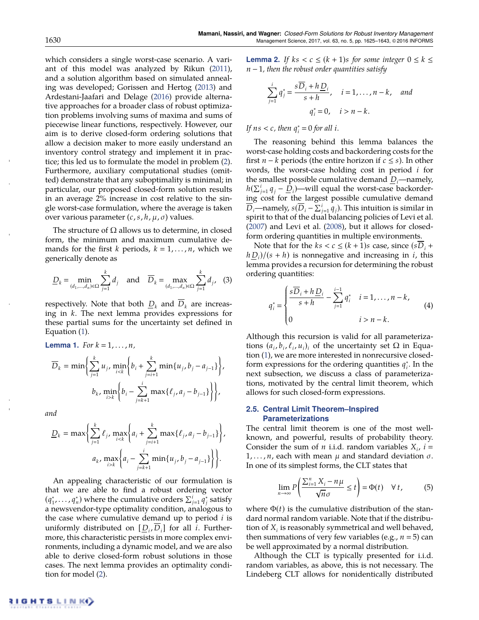which considers a single worst-case scenario. A variant of this model was analyzed by Rikun (2011), and a solution algorithm based on simulated annealing was developed; Gorissen and Hertog (2013) and Ardestani-Jaafari and Delage (2016) provide alternative approaches for a broader class of robust optimization problems involving sums of maxima and sums of piecewise linear functions, respectively. However, our aim is to derive closed-form ordering solutions that allow a decision maker to more easily understand an inventory control strategy and implement it in practice; this led us to formulate the model in problem (2). Furthermore, auxiliary computational studies (omitted) demonstrate that any suboptimality is minimal; in particular, our proposed closed-form solution results in an average 2% increase in cost relative to the single worst-case formulation, where the average is taken over various parameter  $(c, s, h, \mu, \sigma)$  values.

The structure of  $\Omega$  allows us to determine, in closed form, the minimum and maximum cumulative demands for the first *k* periods,  $k = 1, \ldots, n$ , which we generically denote as

$$
\underline{D}_{k} = \min_{(d_{1},...,d_{n}) \in \Omega} \sum_{j=1}^{k} d_{j} \text{ and } \overline{D}_{k} = \max_{(d_{1},...,d_{n}) \in \Omega} \sum_{j=1}^{k} d_{j}, \quad (3)
$$

respectively. Note that both  $D_k$  and  $\overline{D}_k$  are increasing in *k*. The next lemma provides expressions for these partial sums for the uncertainty set defined in Equation (1).

**Lemma 1.** For 
$$
k = 1, ..., n
$$
,  
\n
$$
\overline{D}_k = \min \left\{ \sum_{j=1}^k u_j, \min_{i < k} \left\{ b_i + \sum_{j=i+1}^k \min\{u_j, b_j - a_{j-1}\} \right\},
$$
\n
$$
b_k, \min_{i > k} \left\{ b_i - \sum_{j=k+1}^i \max\{\ell_j, a_j - b_{j-1}\} \right\} \right\},
$$

*and*

$$
\underline{D}_k = \max \left\{ \sum_{j=1}^k \ell_j, \max_{i < k} \left\{ a_i + \sum_{j=i+1}^k \max \{ \ell_j, a_j - b_{j-1} \} \right\},\right.\\
a_k, \max_{i > k} \left\{ a_i - \sum_{j=k+1}^i \min \{ u_j, b_j - a_{j-1} \} \right\} \right\}.
$$

An appealing characteristic of our formulation is that we are able to find a robust ordering vector  $(q_1^*, \ldots, q_n^*)$  where the cumulative orders  $\sum_{j=1}^i \widetilde{q}_j^*$  satisfy a newsvendor-type optimality condition, analogous to the case where cumulative demand up to period *i* is uniformly distributed on  $[D_i, D_i]$  for all *i*. Furthermore, this characteristic persists in more complex environments, including a dynamic model, and we are also able to derive closed-form robust solutions in those cases. The next lemma provides an optimality condition for model (2).

**Lemma 2.** If  $ks < c \leq (k + 1)s$  for some integer  $0 \leq k \leq$  $n-1$ , then the robust order quantities satisfy

$$
\sum_{j=1}^{i} q_j^* = \frac{s\overline{D}_i + h\underline{D}_i}{s+h}, \quad i = 1, \dots, n-k, \quad and
$$
  

$$
q_i^* = 0, \quad i > n-k.
$$

*If*  $ns < c$ , then  $q_i^* = 0$  for all *i*.

The reasoning behind this lemma balances the worst-case holding costs and backordering costs for the first  $n - k$  periods (the entire horizon if  $c \leq s$ ). In other words, the worst-case holding cost in period *i* for the smallest possible cumulative demand  $D_i$ —namely,  $h(\sum_{j=1}^{i} q_j - \underline{D}_i)$ —will equal the worst-case backordering cost for the largest possible cumulative demand  $\overline{D}_i$ —namely,  $s(\overline{D}_i - \Sigma_{j=1}^i \overline{q}_j)$ . This intuition is similar in spirit to that of the dual balancing policies of Levi et al. (2007) and Levi et al. (2008), but it allows for closedform ordering quantities in multiple environments.

Note that for the  $ks < c \leq (k + 1)s$  case, since  $(sD_i +$  $h D_i$ / $(s + h)$  is nonnegative and increasing in *i*, this lemma provides a recursion for determining the robust ordering quantities:

$$
q_i^* = \begin{cases} \frac{s\overline{D}_i + h\underline{D}_i}{s+h} - \sum_{j=1}^{i-1} q_i^* & i = 1, ..., n-k, \\ 0 & i > n-k. \end{cases}
$$
 (4)

Although this recursion is valid for all parameterizations  $(a_i, b_i, \ell_i, u_i)$  of the uncertainty set  $\Omega$  in Equation (1), we are more interested in nonrecursive closedform expressions for the ordering quantities  $q_i^*$ . In the next subsection, we discuss a class of parameterizations, motivated by the central limit theorem, which allows for such closed-form expressions.

### **2.5. Central Limit Theorem–Inspired Parameterizations**

The central limit theorem is one of the most wellknown, and powerful, results of probability theory. Consider the sum of *n* i.i.d. random variables  $X_i$ ,  $i =$  $1, \ldots, n$ , each with mean  $\mu$  and standard deviation  $\sigma$ . In one of its simplest forms, the CLT states that

$$
\lim_{n \to \infty} P\left(\frac{\sum_{i=1}^{n} X_i - n\mu}{\sqrt{n}\sigma} \le t\right) = \Phi(t) \quad \forall \, t,
$$
 (5)

where  $\Phi(t)$  is the cumulative distribution of the standard normal random variable. Note that if the distribution of *Xi* is reasonably symmetrical and well behaved, then summations of very few variables (e.g.,  $n = 5$ ) can be well approximated by a normal distribution.

Although the CLT is typically presented for i.i.d. random variables, as above, this is not necessary. The Lindeberg CLT allows for nonidentically distributed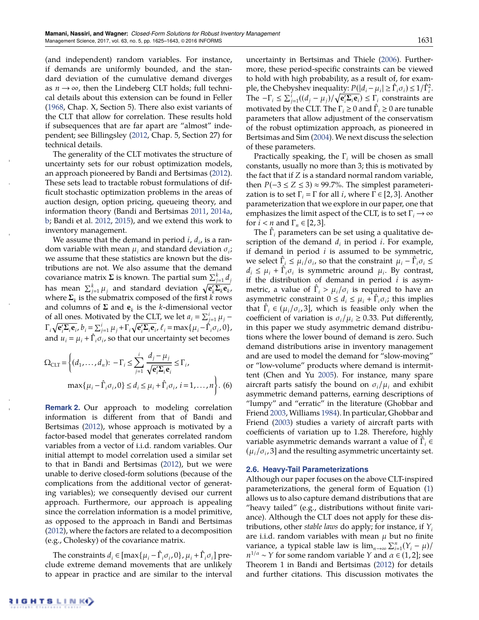(and independent) random variables. For instance, if demands are uniformly bounded, and the standard deviation of the cumulative demand diverges as  $n \rightarrow \infty$ , then the Lindeberg CLT holds; full technical details about this extension can be found in Feller (1968, Chap. X, Section 5). There also exist variants of the CLT that allow for correlation. These results hold if subsequences that are far apart are "almost" independent; see Billingsley (2012, Chap. 5, Section 27) for technical details.

The generality of the CLT motivates the structure of uncertainty sets for our robust optimization models, an approach pioneered by Bandi and Bertsimas (2012). These sets lead to tractable robust formulations of difficult stochastic optimization problems in the areas of auction design, option pricing, queueing theory, and information theory (Bandi and Bertsimas 2011, 2014a, b; Bandi et al. 2012, 2015), and we extend this work to inventory management.

We assume that the demand in period  $i$ ,  $d_i$ , is a random variable with mean  $\mu_i$  and standard deviation  $\sigma_i$ ; we assume that these statistics are known but the distributions are not. We also assume that the demand covariance matrix  $\Sigma$  is known. The partial sum  $\sum_{j=1}^k d_j$ has mean  $\sum_{j=1}^{k} \mu_j$  and standard deviation  $\sqrt{\mathbf{e}'_k \mathbf{\Sigma}_k \mathbf{e}_k}$ , where  $\Sigma_k$  is the submatrix composed of the first  $k$  rows and columns of  $\Sigma$  and  $e_k$  is the *k*-dimensional vector of all ones. Motivated by the CLT, we let  $a_i = \sum_{j=1}^i \mu_j$  –  $\Gamma_i \sqrt{\mathbf{e}_i^{\prime} \Sigma_i \mathbf{e}_i}$ ,  $b_i = \sum_{j=1}^i \mu_j + \Gamma_i \sqrt{\mathbf{e}_i^{\prime} \Sigma_i \mathbf{e}_i}$ ,  $\ell_i = \max\{\mu_i - \hat{\Gamma}_i \hat{\sigma}_i, 0\}$ , and  $u_i = \mu_i + \hat{\Gamma}_i \sigma_i$ , so that our uncertainty set becomes

$$
\Omega_{\text{CLT}} = \left\{ (d_1, \dots, d_n): -\Gamma_i \le \sum_{j=1}^i \frac{d_j - \mu_j}{\sqrt{\mathbf{e}_i^{\prime} \Sigma_i \mathbf{e}_i}} \le \Gamma_i, \right\}
$$

$$
\max \{ \mu_i - \hat{\Gamma}_i \sigma_i, 0 \} \le d_i \le \mu_i + \hat{\Gamma}_i \sigma_i, \ i = 1, \dots, n \right\}. \tag{6}
$$

**Remark 2.** Our approach to modeling correlation information is different from that of Bandi and Bertsimas (2012), whose approach is motivated by a factor-based model that generates correlated random variables from a vector of i.i.d. random variables. Our initial attempt to model correlation used a similar set to that in Bandi and Bertsimas (2012), but we were unable to derive closed-form solutions (because of the complications from the additional vector of generating variables); we consequently devised our current approach. Furthermore, our approach is appealing since the correlation information is a model primitive, as opposed to the approach in Bandi and Bertsimas (2012), where the factors are related to a decomposition (e.g., Cholesky) of the covariance matrix.

The constraints  $d_i \in [\max\{\mu_i - \hat{\Gamma}_i \sigma_i, 0\}, \mu_i + \hat{\Gamma}_i \sigma_i]$  preclude extreme demand movements that are unlikely to appear in practice and are similar to the interval uncertainty in Bertsimas and Thiele (2006). Furthermore, these period-specific constraints can be viewed to hold with high probability, as a result of, for example, the Chebyshev inequality:  $P(|d_i - \mu_i| \geq \hat{\Gamma}_i \sigma_i) \leq 1/\hat{\Gamma}_i^2$ . The  $-\Gamma_i \leq \sum_{j=1}^{i} ((d_j - \mu_j)/\sqrt{e'_i \Sigma_i e_i}) \leq \Gamma_i$  constraints are motivated by the CLT. The  $\Gamma_i \geq 0$  and  $\hat{\Gamma}_i \geq 0$  are tunable parameters that allow adjustment of the conservatism of the robust optimization approach, as pioneered in Bertsimas and Sim (2004). We next discuss the selection of these parameters.

Practically speaking, the  $\Gamma_i$  will be chosen as small constants, usually no more than 3; this is motivated by the fact that if *Z* is a standard normal random variable, then  $P(-3 \le Z \le 3) \approx 99.7\%$ . The simplest parameterization is to set  $\Gamma_i = \Gamma$  for all *i*, where  $\Gamma \in [2, 3]$ . Another parameterization that we explore in our paper, one that emphasizes the limit aspect of the CLT, is to set  $\Gamma_i \rightarrow \infty$ for  $i < n$  and  $\Gamma_n \in [2, 3]$ .

The  $\hat{\Gamma}_i$  parameters can be set using a qualitative description of the demand  $d_i$  in period  $i$ . For example, if demand in period *i* is assumed to be symmetric, we select  $\hat{\Gamma}_i \leq \mu_i / \sigma_i$ , so that the constraint  $\mu_i - \hat{\Gamma}_i \sigma_i \leq$  $d_i \leq \mu_i + \hat{\Gamma}_i \sigma_i$  is symmetric around  $\mu_i$ . By contrast, if the distribution of demand in period *i* is asymmetric, a value of  $\hat{\Gamma}_i > \mu_i / \sigma_i$  is required to have an asymmetric constraint  $0 \le d_i \le \mu_i + \hat{\Gamma}_i \sigma_i$ ; this implies that  $\hat{\Gamma}_i \in (\mu_i/\sigma_i, 3]$ , which is feasible only when the coefficient of variation is  $\sigma_i/\mu_i \geq 0.33$ . Put differently, in this paper we study asymmetric demand distributions where the lower bound of demand is zero. Such demand distributions arise in inventory management and are used to model the demand for "slow-moving" or "low-volume" products where demand is intermittent (Chen and Yu 2005). For instance, many spare aircraft parts satisfy the bound on  $\sigma_i/\mu_i$  and exhibit asymmetric demand patterns, earning descriptions of "lumpy" and "erratic" in the literature (Ghobbar and Friend 2003, Williams 1984). In particular, Ghobbar and Friend (2003) studies a variety of aircraft parts with coefficients of variation up to 1.28. Therefore, highly variable asymmetric demands warrant a value of  $\hat{\Gamma}_i$  $(\mu_i/\sigma_i, 3]$  and the resulting asymmetric uncertainty set.

#### **2.6. Heavy-Tail Parameterizations**

Although our paper focuses on the above CLT-inspired parameterizations, the general form of Equation (1) allows us to also capture demand distributions that are "heavy tailed" (e.g., distributions without finite variance). Although the CLT does not apply for these distributions, other *stable laws* do apply; for instance, if *Yi* are i.i.d. random variables with mean  $\mu$  but no finite variance, a typical stable law is  $\lim_{n\to\infty}\sum_{i=1}^{n}(Y_i-\mu)/$  $n^{1/\alpha}$  ~ *Y* for some random variable *Y* and  $\alpha \in (1, 2]$ ; see Theorem 1 in Bandi and Bertsimas (2012) for details and further citations. This discussion motivates the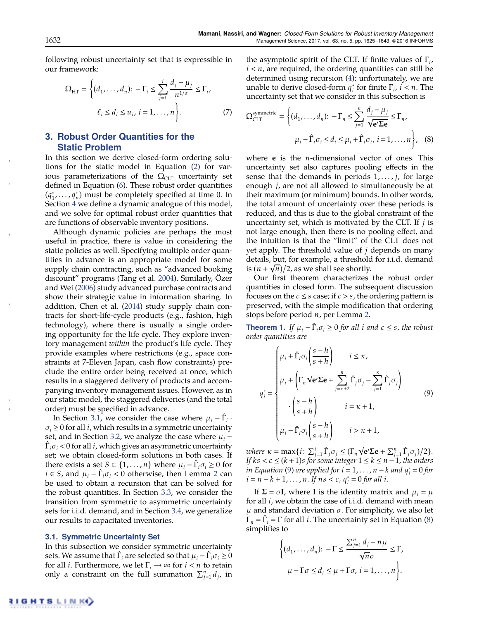following robust uncertainty set that is expressible in our framework:

$$
\Omega_{\text{HT}} = \left\{ (d_1, ..., d_n): -\Gamma_i \le \sum_{j=1}^i \frac{d_j - \mu_j}{n^{1/\alpha}} \le \Gamma_i, \\ \ell_i \le d_i \le u_i, \, i = 1, ..., n \right\}. \tag{7}
$$

# **3. Robust Order Quantities for the Static Problem**

In this section we derive closed-form ordering solutions for the static model in Equation (2) for various parameterizations of the  $\Omega_{CLT}$  uncertainty set defined in Equation (6). These robust order quantities  $(q_1^*, \ldots, q_n^*)$  must be completely specified at time 0. In Section 4 we define a dynamic analogue of this model, and we solve for optimal robust order quantities that are functions of observable inventory positions.

Although dynamic policies are perhaps the most useful in practice, there is value in considering the static policies as well. Specifying multiple order quantities in advance is an appropriate model for some supply chain contracting, such as "advanced booking discount" programs (Tang et al. 2004). Similarly, Özer and Wei (2006) study advanced purchase contracts and show their strategic value in information sharing. In addition, Chen et al. (2014) study supply chain contracts for short-life-cycle products (e.g., fashion, high technology), where there is usually a single ordering opportunity for the life cycle. They explore inventory management *within* the product's life cycle. They provide examples where restrictions (e.g., space constraints at 7-Eleven Japan, cash flow constraints) preclude the entire order being received at once, which results in a staggered delivery of products and accompanying inventory management issues. However, as in our static model, the staggered deliveries (and the total order) must be specified in advance.

In Section 3.1, we consider the case where  $\mu_i - \hat{\Gamma}_i$ .  $\sigma_i \geq 0$  for all *i*, which results in a symmetric uncertainty set, and in Section 3.2, we analyze the case where  $\mu_i$  –  $\hat{\Gamma}_i \sigma_i$  < 0 for all *i*, which gives an asymmetric uncertainty set; we obtain closed-form solutions in both cases. If there exists a set *S*  $\subset$  {1, ..., *n*} where  $\mu_i - \hat{\Gamma}_i \sigma_i \ge 0$  for  $i \in S$ , and  $\mu_i - \hat{\Gamma}_i \sigma_i < 0$  otherwise, then Lemma 2 can be used to obtain a recursion that can be solved for the robust quantities. In Section 3.3, we consider the transition from symmetric to asymmetric uncertainty sets for i.i.d. demand, and in Section 3.4, we generalize our results to capacitated inventories.

#### **3.1. Symmetric Uncertainty Set**

In this subsection we consider symmetric uncertainty sets. We assume that  $\hat{\Gamma}_i$  are selected so that  $\mu_i - \hat{\Gamma}_i \sigma_i \geq 0$ for all *i*. Furthermore, we let  $\Gamma_i \rightarrow \infty$  for  $i < n$  to retain only a constraint on the full summation  $\sum_{j=1}^{n} d_j$ , in

the asymptotic spirit of the CLT. If finite values of  $\Gamma_i$ ,  $i < n$ , are required, the ordering quantities can still be determined using recursion (4); unfortunately, we are unable to derive closed-form  $q_i^*$  for finite  $\Gamma_i$ ,  $i < n$ . The uncertainty set that we consider in this subsection is

$$
\Omega_{CLT}^{\text{symmetric}} = \left\{ (d_1, \dots, d_n): -\Gamma_n \le \sum_{j=1}^n \frac{d_j - \mu_j}{\sqrt{\mathbf{e}' \Sigma \mathbf{e}}} \le \Gamma_n, \mu_i - \hat{\Gamma}_i \sigma_i \le d_i \le \mu_i + \hat{\Gamma}_i \sigma_i, i = 1, \dots, n \right\}, \quad (8)
$$

where **e** is the *n*-dimensional vector of ones. This uncertainty set also captures pooling effects in the sense that the demands in periods 1,..., *j*, for large enough *j*, are not all allowed to simultaneously be at their maximum (or minimum) bounds. In other words, the total amount of uncertainty over these periods is reduced, and this is due to the global constraint of the uncertainty set, which is motivated by the CLT. If *j* is not large enough, then there is no pooling effect, and the intuition is that the "limit" of the CLT does not yet apply. The threshold value of *j* depends on many details, but, for example, a threshold for i.i.d. demand is  $(n + \sqrt{n})/2$ , as we shall see shortly.

Our first theorem characterizes the robust order quantities in closed form. The subsequent discussion focuses on the  $c \leq s$  case; if  $c > s$ , the ordering pattern is preserved, with the simple modification that ordering stops before period *n*, per Lemma 2.

**Theorem 1.** If  $\mu_i - \hat{\Gamma}_i \sigma_i \ge 0$  for all *i* and  $c \le s$ , the robust *order quantities are*

$$
q_i^* = \begin{cases} \mu_i + \hat{\Gamma}_i \sigma_i \left( \frac{s - h}{s + h} \right) & i \le \kappa, \\ \mu_i + \left( \Gamma_n \sqrt{e'} \Sigma e + \sum_{j = \kappa + 2}^n \hat{\Gamma}_j \sigma_j - \sum_{j = 1}^\kappa \hat{\Gamma}_j \sigma_j \right) \\ \cdot \left( \frac{s - h}{s + h} \right) & i = \kappa + 1, \\ \mu_i - \hat{\Gamma}_i \sigma_i \left( \frac{s - h}{s + h} \right) & i > \kappa + 1, \end{cases} \tag{9}
$$

*where*  $\kappa = \max\{i: \sum_{j=1}^{i} \hat{\Gamma}_j \sigma_j \leq (\Gamma_n \sqrt{\mathbf{e}' \Sigma \mathbf{e}} + \sum_{j=1}^{n} \hat{\Gamma}_j \sigma_j)/2\}.$ *If*  $ks < c \leq (k + 1)s$  *for some integer*  $1 \leq k \leq n - 1$ *, the orders in Equation* (9) *are applied for*  $i = 1, ..., n - k$  *and*  $q_i^* = 0$  *for*  $i = n - k + 1, \ldots, n$ . If  $ns < c$ ,  $q_i^* = 0$  for all *i*.

If  $\Sigma = \sigma I$ , where **I** is the identity matrix and  $\mu_i = \mu$ for all *i*, we obtain the case of i.i.d. demand with mean  $\mu$  and standard deviation  $\sigma$ . For simplicity, we also let  $\hat{\Gamma}_n = \hat{\Gamma}_i = \Gamma$  for all *i*. The uncertainty set in Equation (8) simplifies to

$$
\left\{ (d_1, \dots, d_n) : -\Gamma \le \frac{\sum_{j=1}^n d_j - n\mu}{\sqrt{n}\sigma} \le \Gamma, \mu - \Gamma \sigma \le d_i \le \mu + \Gamma \sigma, i = 1, \dots, n \right\}.
$$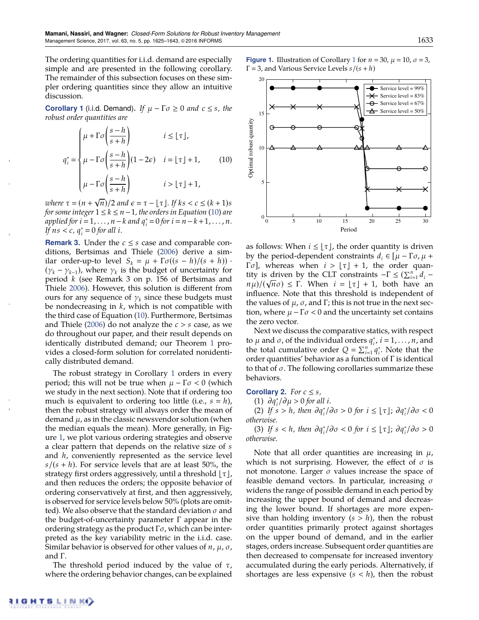The ordering quantities for i.i.d. demand are especially simple and are presented in the following corollary. The remainder of this subsection focuses on these simpler ordering quantities since they allow an intuitive discussion.

**Corollary 1** (i.i.d. Demand). If  $\mu - \Gamma \sigma \ge 0$  and  $c \le s$ , the *robust order quantities are*

$$
q_i^* = \begin{cases} \mu + \Gamma \sigma \left( \frac{s - h}{s + h} \right) & i \leq \lfloor \tau \rfloor, \\ \mu - \Gamma \sigma \left( \frac{s - h}{s + h} \right) (1 - 2\epsilon) & i = \lfloor \tau \rfloor + 1, \\ \mu - \Gamma \sigma \left( \frac{s - h}{s + h} \right) & i > \lfloor \tau \rfloor + 1, \end{cases}
$$
(10)

*where*  $\tau = (n + \sqrt{n})/2$  *and*  $\epsilon = \tau - \lfloor \tau \rfloor$ *. If*  $ks < c \leq (k + 1)s$ *for some integer*  $1 \leq k \leq n-1$ , the orders in Equation (10) are  $a$ *pplied for*  $i = 1, ..., n - k$  *and*  $q_i^* = 0$  *for*  $i = n - k + 1, ..., n$ .  $\int f \, ds < c$ ,  $q_i^* = 0$  for all *i*.

**Remark 3.** Under the  $c \leq s$  case and comparable conditions, Bertsimas and Thiele (2006) derive a similar order-up-to level  $S_k = \mu + \Gamma \sigma((s-h)/(s+h))$ .  $(\gamma_k - \gamma_{k-1})$ , where  $\gamma_k$  is the budget of uncertainty for period *k* (see Remark 3 on p. 156 of Bertsimas and Thiele 2006). However, this solution is different from ours for any sequence of  $\gamma_k$  since these budgets must be nondecreasing in *k*, which is not compatible with the third case of Equation (10). Furthermore, Bertsimas and Thiele (2006) do not analyze the *c* > *s* case, as we do throughout our paper, and their result depends on identically distributed demand; our Theorem 1 provides a closed-form solution for correlated nonidentically distributed demand.

The robust strategy in Corollary 1 orders in every period; this will not be true when  $\mu - \Gamma \sigma < 0$  (which we study in the next section). Note that if ordering too much is equivalent to ordering too little (i.e.,  $s = h$ ), then the robust strategy will always order the mean of demand  $\mu$ , as in the classic newsvendor solution (when the median equals the mean). More generally, in Figure 1, we plot various ordering strategies and observe a clear pattern that depends on the relative size of *s* and *h*, conveniently represented as the service level  $s/(s + h)$ . For service levels that are at least 50%, the strategy first orders aggressively, until a threshold  $\lfloor \tau \rfloor$ , and then reduces the orders; the opposite behavior of ordering conservatively at first, and then aggressively, is observed for service levels below 50% (plots are omitted). We also observe that the standard deviation  $\sigma$  and the budget-of-uncertainty parameter  $\Gamma$  appear in the ordering strategy as the product  $\Gamma \sigma$ , which can be interpreted as the key variability metric in the i.i.d. case. Similar behavior is observed for other values of  $n$ ,  $\mu$ ,  $\sigma$ , and  $\Gamma$ .

The threshold period induced by the value of  $\tau$ , where the ordering behavior changes, can be explained **Figure 1.** Illustration of Corollary 1 for  $n = 30$ ,  $\mu = 10$ ,  $\sigma = 3$ ,  $\Gamma$  = 3, and Various Service Levels *s*/(*s* + *h*)



as follows: When  $i \leq |\tau|$ , the order quantity is driven by the period-dependent constraints  $d_i \in [\mu - \Gamma \sigma, \mu + \sigma]$  $\lceil \sigma \rceil$ , whereas when  $i > \lfloor \tau \rfloor + 1$ , the order quantity is driven by the CLT constraints  $-\Gamma \leq (\sum_{i=1}^{n} d_i$  $n\mu$ )/( $\sqrt{n\sigma}$ )  $\leq$   $\Gamma$ . When  $i = \lfloor \tau \rfloor + 1$ , both have an influence. Note that this threshold is independent of the values of  $\mu$ ,  $\sigma$ , and  $\Gamma$ ; this is not true in the next section, where  $\mu - \Gamma \sigma < 0$  and the uncertainty set contains the zero vector.

Next we discuss the comparative statics, with respect to  $\mu$  and  $\sigma$ , of the individual orders  $q_i^*$ ,  $i = 1, ..., n$ , and the total cumulative order  $Q = \sum_{i=1}^{n} q_i^*$ . Note that the order quantities' behavior as a function of  $\Gamma$  is identical to that of  $\sigma$ . The following corollaries summarize these behaviors.

**Corollary 2.** *For*  $c \leq s$ *,* 

(1)  $\partial q_i^* / \partial \mu > 0$  *for all i.* 

(2) If  $s > h$ , then  $\partial q_i^* / \partial \sigma > 0$  for  $i \leq \lfloor \tau \rfloor$ ;  $\partial q_i^* / \partial \sigma < 0$ *otherwise.*

(3) If  $s < h$ , then  $\partial q_i^* / \partial \sigma < 0$  for  $i \leq \lfloor \tau \rfloor$ ;  $\partial q_i^* / \partial \sigma > 0$ *otherwise.*

Note that all order quantities are increasing in  $\mu$ , which is not surprising. However, the effect of  $\sigma$  is not monotone. Larger  $\sigma$  values increase the space of feasible demand vectors. In particular, increasing  $\sigma$ widens the range of possible demand in each period by increasing the upper bound of demand and decreasing the lower bound. If shortages are more expensive than holding inventory  $(s > h)$ , then the robust order quantities primarily protect against shortages on the upper bound of demand, and in the earlier stages, orders increase. Subsequent order quantities are then decreased to compensate for increased inventory accumulated during the early periods. Alternatively, if shortages are less expensive  $(s < h)$ , then the robust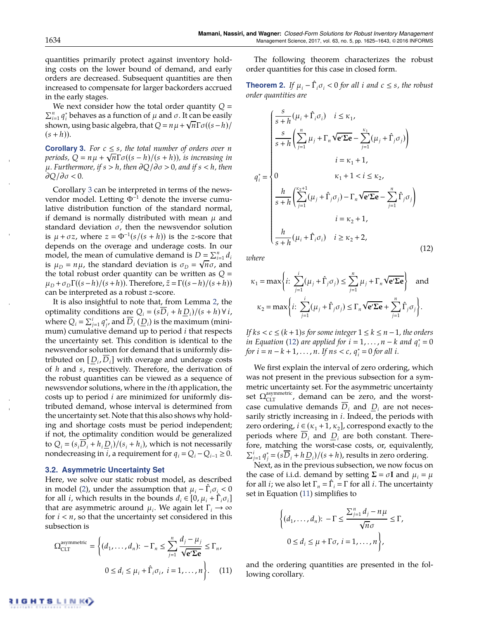quantities primarily protect against inventory holding costs on the lower bound of demand, and early orders are decreased. Subsequent quantities are then increased to compensate for larger backorders accrued in the early stages.

We next consider how the total order quantity  $Q =$  $\prod_{i=1}^n q_i^*$  behaves as a function of  $\mu$  and  $\sigma$ . It can be easily shown, using basic algebra, that  $Q = n\mu + \sqrt{n}\Gamma\sigma((s-h)/n)$  $(s + h)$ ).

**Corollary 3.** For  $c \leq s$ , the total number of orders over *n periods,*  $Q = n\mu + \sqrt{n}\Gamma\sigma((s-h)/(s+h))$ *, is increasing in*  $\mu$ *. Furthermore, if*  $s > h$ *, then*  $\partial Q / \partial \sigma > 0$ *, and if*  $s < h$ *, then*  $\partial Q/\partial \sigma$  < 0.

Corollary 3 can be interpreted in terms of the newsvendor model. Letting  $\Phi^{-1}$  denote the inverse cumulative distribution function of the standard normal, if demand is normally distributed with mean  $\mu$  and standard deviation  $\sigma$ , then the newsvendor solution is  $\mu + \sigma z$ , where  $z = \Phi^{-1}(s/(s+h))$  is the *z*-score that depends on the overage and underage costs. In our model, the mean of cumulative demand is  $D = \sum_{i=1}^{n} d_i$ is  $\mu_D = n\mu$ , the standard deviation is  $\sigma_D = \sqrt{n\sigma}$ , and the total robust order quantity can be written as  $Q =$  $\mu_D + \sigma_D \Gamma((s-h)/(s+h))$ . Therefore,  $\tilde{z} = \Gamma((s-h)/(s+h))$ can be interpreted as a robust *z*-score.

It is also insightful to note that, from Lemma 2, the optimality conditions are  $Q_i = (sD_i + hD_i)/(s + h) \forall i$ , where  $Q_i = \sum_{j=1}^i q_j^*$ , and  $\overline{D}_i$  ( $\underline{D}_i$ ) is the maximum (minimum) cumulative demand up to period *i* that respects the uncertainty set. This condition is identical to the newsvendor solution for demand that is uniformly distributed on  $[D_i, D_i]$  with overage and underage costs of *h* and *s*, respectively. Therefore, the derivation of the robust quantities can be viewed as a sequence of newsvendor solutions, where in the *i*th application, the costs up to period *i* are minimized for uniformly distributed demand, whose interval is determined from the uncertainty set. Note that this also shows why holding and shortage costs must be period independent; if not, the optimality condition would be generalized to  $Q_i = (s_i D_i + h_i D_i)/(s_i + h_i)$ , which is not necessarily nondecreasing in *i*, a requirement for  $q_i = Q_i - Q_{i-1} \ge 0$ .

#### **3.2. Asymmetric Uncertainty Set**

Here, we solve our static robust model, as described in model (2), under the assumption that  $\mu_i - \hat{\Gamma}_i \sigma_i < 0$ for all *i*, which results in the bounds  $d_i \in [0, \mu_i + \hat{\Gamma}_i \sigma_i]$ that are asymmetric around  $\mu_i$ . We again let  $\Gamma_i \rightarrow \infty$ for  $i < n$ , so that the uncertainty set considered in this subsection is

$$
\Omega_{CLT}^{\text{asymmetric}} = \left\{ (d_1, \dots, d_n): -\Gamma_n \le \sum_{j=1}^n \frac{d_j - \mu_j}{\sqrt{\mathbf{e}' \Sigma \mathbf{e}}} \le \Gamma_n, 0 \le d_i \le \mu_i + \hat{\Gamma}_i \sigma_i, \ i = 1, \dots, n \right\}.
$$
 (11)

The following theorem characterizes the robust order quantities for this case in closed form.

**Theorem 2.** If  $\mu_i - \hat{\Gamma}_i \sigma_i < 0$  for all *i* and  $c \leq s$ , the robust *order quantities are*

$$
\int_{\vec{s}} \frac{s}{s+h} (\mu_i + \hat{\Gamma}_i \sigma_i) \quad i \le \kappa_1,
$$
\n
$$
\frac{s}{s+h} \left( \sum_{j=1}^n \mu_j + \Gamma_n \sqrt{\mathbf{e}' \Sigma \mathbf{e}} - \sum_{j=1}^{\kappa_1} (\mu_j + \hat{\Gamma}_j \sigma_j) \right)
$$
\n
$$
i = \kappa_1 + 1,
$$
\n
$$
\int_{\vec{s}}^* = \begin{cases}\n0 & \kappa_1 + 1 < i \le \kappa_2, \\
0 & \kappa_1 + 1 < i \le \kappa_2, \\
\frac{h}{s+h} \left( \sum_{j=1}^{\kappa_2 + 1} (\mu_j + \hat{\Gamma}_j \sigma_j) - \Gamma_n \sqrt{\mathbf{e}' \Sigma \mathbf{e}} - \sum_{j=1}^n \hat{\Gamma}_j \sigma_j \right) \\
i = \kappa_2 + 1, \\
\frac{h}{s+h} (\mu_i + \hat{\Gamma}_i \sigma_i) & i \ge \kappa_2 + 2,\n\end{cases} \tag{12}
$$

*where*

*q*⇤

$$
\kappa_1 = \max \left\{ i: \sum_{j=1}^i (\mu_j + \hat{\Gamma}_j \sigma_j) \le \sum_{j=1}^n \mu_j + \Gamma_n \sqrt{\mathbf{e}' \Sigma \mathbf{e}} \right\} \text{ and}
$$

$$
\kappa_2 = \max \left\{ i: \sum_{j=1}^i (\mu_j + \hat{\Gamma}_j \sigma_j) \le \Gamma_n \sqrt{\mathbf{e}' \Sigma \mathbf{e}} + \sum_{j=1}^n \hat{\Gamma}_j \sigma_j \right\}.
$$

*If*  $ks < c \leq (k + 1)s$  *for some integer*  $1 \leq k \leq n - 1$ *, the orders in Equation* (12) *are applied for*  $i = 1, ..., n - k$  *and*  $q_i^* = 0$ *for*  $i = n - k + 1, ..., n$ *. If*  $ns < c$ *,*  $q_i^* = 0$  *for all i.* 

We first explain the interval of zero ordering, which was not present in the previous subsection for a symmetric uncertainty set. For the asymmetric uncertainty set  $\Omega_{CLT}^{asymmetric}$ , demand can be zero, and the worstcase cumulative demands  $D_i$  and  $D_i$  are not necessarily strictly increasing in *i*. Indeed, the periods with zero ordering,  $i \in (\kappa_1 + 1, \kappa_2]$ , correspond exactly to the periods where  $D_i$  and  $D_i$  are both constant. Therefore, matching the worst-case costs, or, equivalently,  $\sum_{j=1}^{i} q_j^* = (s\overline{D}_i + h\underline{D}_i)/(s + h)$ , results in zero ordering.

Next, as in the previous subsection, we now focus on the case of i.i.d. demand by setting  $\Sigma = \sigma I$  and  $\mu_i = \mu$ for all *i*; we also let  $\Gamma_n = \hat{\Gamma}_i = \Gamma$  for all *i*. The uncertainty set in Equation (11) simplifies to

$$
\left\{ (d_1, \dots, d_n) : -\Gamma \le \frac{\sum_{j=1}^n d_j - n\mu}{\sqrt{n}\sigma} \le \Gamma, \right\}
$$
  

$$
0 \le d_i \le \mu + \Gamma \sigma, \, i = 1, \dots, n \right\},
$$

and the ordering quantities are presented in the following corollary.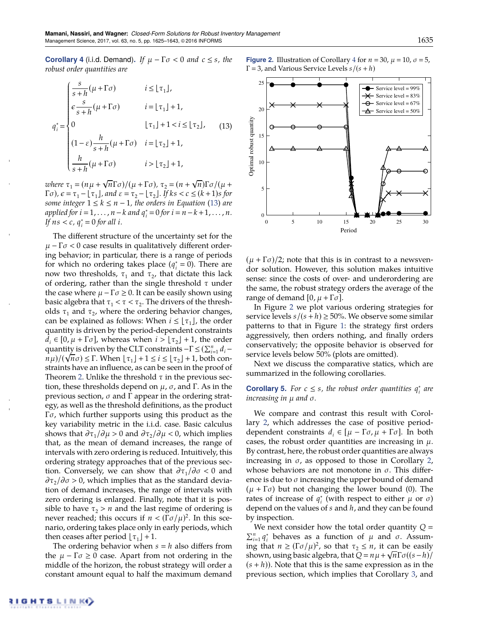**Corollary 4** (i.i.d. Demand). If  $\mu - \Gamma \sigma < 0$  and  $c \leq s$ , the *robust order quantities are*

$$
q_i^* = \begin{cases} \frac{s}{s+h}(\mu + \Gamma \sigma) & i \leq \lfloor \tau_1 \rfloor, \\ \varepsilon \frac{s}{s+h}(\mu + \Gamma \sigma) & i = \lfloor \tau_1 \rfloor + 1, \\ 0 & \lfloor \tau_1 \rfloor + 1 < i \leq \lfloor \tau_2 \rfloor, \\ (1 - \varepsilon) \frac{h}{s+h}(\mu + \Gamma \sigma) & i = \lfloor \tau_2 \rfloor + 1, \\ \frac{h}{s+h}(\mu + \Gamma \sigma) & i > \lfloor \tau_2 \rfloor + 1, \end{cases} \tag{13}
$$

*where*  $\tau_1 = (n\mu + \sqrt{n}\Gamma\sigma)/(\mu + \Gamma\sigma)$ ,  $\tau_2 = (n + \sqrt{n})\Gamma\sigma/(\mu + \Gamma\sigma)$  $\Gamma$  $\sigma$ ),  $\epsilon = \tau_1 - \lfloor \tau_1 \rfloor$ , and  $\epsilon = \tau_2 - \lfloor \tau_2 \rfloor$ . If  $ks < c \leq (k+1)s$  for *some integer*  $1 \leq k \leq n-1$ *, the orders in Equation* (13) *are*  $a$ *pplied for*  $i = 1, ..., n - k$  *and*  $q_i^* = 0$  *for*  $i = n - k + 1, ..., n$ . *If*  $ns < c$ ,  $q_i^* = 0$  for all *i*.

The different structure of the uncertainty set for the  $\mu$  –  $\Gamma \sigma$  < 0 case results in qualitatively different ordering behavior; in particular, there is a range of periods for which no ordering takes place  $(q_i^* = 0)$ . There are now two thresholds,  $\tau_1$  and  $\tau_2$ , that dictate this lack of ordering, rather than the single threshold  $\tau$  under the case where  $\mu - \Gamma \sigma \geq 0$ . It can be easily shown using basic algebra that  $\tau_1 < \tau < \tau_2$ . The drivers of the thresholds  $\tau_1$  and  $\tau_2$ , where the ordering behavior changes, can be explained as follows: When  $i \leq \lfloor \tau_1 \rfloor$ , the order quantity is driven by the period-dependent constraints  $d_i \in [0, \mu + \Gamma \sigma]$ , whereas when  $i > \lfloor \tau_2 \rfloor + 1$ , the order quantity is driven by the CLT constraints  $-\Gamma \leq (\sum_{i=1}^{n} d_i$  $n\mu$ )/( $\sqrt{n}\sigma$ )  $\leq$  T. When  $\lfloor \tau_1 \rfloor + 1 \leq i \leq \lfloor \tau_2 \rfloor + 1$ , both constraints have an influence, as can be seen in the proof of Theorem 2. Unlike the threshold  $\tau$  in the previous section, these thresholds depend on  $\mu$ ,  $\sigma$ , and  $\Gamma$ . As in the previous section,  $\sigma$  and  $\Gamma$  appear in the ordering strategy, as well as the threshold definitions, as the product  $\Gamma \sigma$ , which further supports using this product as the key variability metric in the i.i.d. case. Basic calculus shows that  $\partial \tau_1/\partial \mu > 0$  and  $\partial \tau_2/\partial \mu < 0$ , which implies that, as the mean of demand increases, the range of intervals with zero ordering is reduced. Intuitively, this ordering strategy approaches that of the previous section. Conversely, we can show that  $\partial \tau_1/\partial \sigma < 0$  and  $\partial \tau_2/\partial \sigma > 0$ , which implies that as the standard deviation of demand increases, the range of intervals with zero ordering is enlarged. Finally, note that it is possible to have  $\tau_2 > n$  and the last regime of ordering is never reached; this occurs if  $n < (\Gamma \sigma / \mu)^2$ . In this scenario, ordering takes place only in early periods, which then ceases after period  $\lfloor \tau_1 \rfloor + 1$ .

The ordering behavior when  $s = h$  also differs from the  $\mu - \Gamma \sigma \ge 0$  case. Apart from not ordering in the middle of the horizon, the robust strategy will order a constant amount equal to half the maximum demand **Figure 2.** Illustration of Corollary 4 for  $n = 30$ ,  $\mu = 10$ ,  $\sigma = 5$ ,  $\Gamma$  = 3, and Various Service Levels *s*/(*s* + *h*)



 $(\mu + \Gamma \sigma)/2$ ; note that this is in contrast to a newsvendor solution. However, this solution makes intuitive sense: since the costs of over- and underordering are the same, the robust strategy orders the average of the range of demand  $[0, \mu + \Gamma \sigma]$ .

In Figure 2 we plot various ordering strategies for service levels  $s/(s+h) \ge 50\%$ . We observe some similar patterns to that in Figure 1: the strategy first orders aggressively, then orders nothing, and finally orders conservatively; the opposite behavior is observed for service levels below 50% (plots are omitted).

Next we discuss the comparative statics, which are summarized in the following corollaries.

#### **Corollary 5.** For  $c \leq s$ , the robust order quantities  $q_i^*$  are *increasing in* µ *and .*

We compare and contrast this result with Corollary 2, which addresses the case of positive perioddependent constraints  $d_i \in [\mu - \Gamma \sigma, \mu + \Gamma \sigma]$ . In both cases, the robust order quantities are increasing in  $\mu$ . By contrast, here, the robust order quantities are always increasing in  $\sigma$ , as opposed to those in Corollary 2, whose behaviors are not monotone in  $\sigma$ . This difference is due to  $\sigma$  increasing the upper bound of demand  $(\mu + \Gamma \sigma)$  but not changing the lower bound (0). The rates of increase of  $q_i^*$  (with respect to either  $\mu$  or  $\sigma$ ) depend on the values of *s* and *h*, and they can be found by inspection.

We next consider how the total order quantity  $Q =$  $\prod_{i=1}^{n} q_i^*$  behaves as a function of  $\mu$  and  $\sigma$ . Assuming that  $n \ge (\Gamma \sigma / \mu)^2$ , so that  $\tau_2 \le n$ , it can be easily shown, using basic algebra, that  $Q = n\mu + \sqrt{n\Gamma}\sigma((s-h)/n)$  $(s + h)$ ). Note that this is the same expression as in the previous section, which implies that Corollary 3, and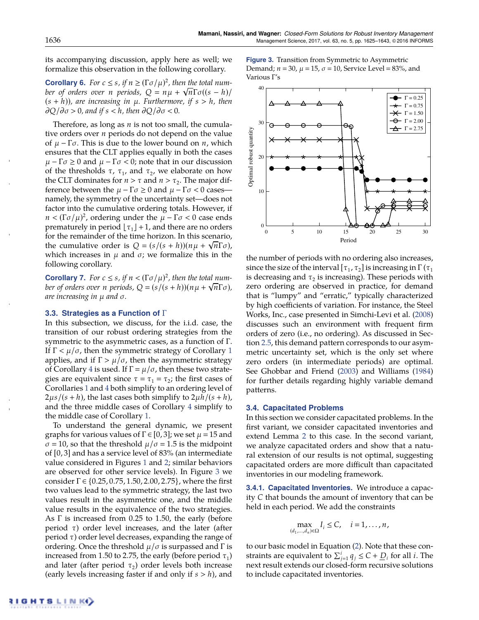its accompanying discussion, apply here as well; we formalize this observation in the following corollary.

**Corollary 6.** For  $c \leq s$ , if  $n \geq (\Gamma \sigma / \mu)^2$ , then the total num*ber of orders over n periods,*  $Q = n\mu + \sqrt{n}\Gamma\sigma((s - h)/n)$  $(s + h)$ , are increasing in  $\mu$ . Furthermore, if  $s > h$ , then  $\partial Q/\partial \sigma > 0$ , and if  $s < h$ , then  $\partial Q/\partial \sigma < 0$ .

Therefore, as long as *n* is not too small, the cumulative orders over *n* periods do not depend on the value of  $\mu$  –  $\Gamma \sigma$ . This is due to the lower bound on *n*, which ensures that the CLT applies equally in both the cases  $\mu - \Gamma \sigma \ge 0$  and  $\mu - \Gamma \sigma < 0$ ; note that in our discussion of the thresholds  $\tau$ ,  $\tau_1$ , and  $\tau_2$ , we elaborate on how the CLT dominates for  $n > \tau$  and  $n > \tau_2$ . The major difference between the  $\mu - \Gamma \sigma \geq 0$  and  $\mu - \Gamma \sigma < 0$  casesnamely, the symmetry of the uncertainty set—does not factor into the cumulative ordering totals. However, if  $n < (\Gamma \sigma / \mu)^2$ , ordering under the  $\mu - \Gamma \sigma < 0$  case ends prematurely in period  $\lfloor \tau_1 \rfloor +1$ , and there are no orders for the remainder of the time horizon. In this scenario, the cumulative order is  $Q = (s/(s+h))(n\mu + \sqrt{n}\Gamma\sigma)$ , which increases in  $\mu$  and  $\sigma$ ; we formalize this in the following corollary.

**Corollary 7.** For  $c \leq s$ , if  $n < (\Gamma \sigma / \mu)^2$ , then the total num*ber of orders over n periods*,  $Q = (s/(s+h))(n\mu + \sqrt{n}\Gamma\sigma)$ , *are increasing in* µ *and .*

#### **3.3. Strategies as a Function of**

In this subsection, we discuss, for the i.i.d. case, the transition of our robust ordering strategies from the symmetric to the asymmetric cases, as a function of  $\Gamma$ . If  $\Gamma < \mu/\sigma$ , then the symmetric strategy of Corollary 1 applies, and if  $\Gamma > \mu/\sigma$ , then the asymmetric strategy of Corollary 4 is used. If  $\Gamma = \mu/\sigma$ , then these two strategies are equivalent since  $\tau = \tau_1 = \tau_2$ ; the first cases of Corollaries 1 and 4 both simplify to an ordering level of  $2\mu s/(s+h)$ , the last cases both simplify to  $2\mu h/(s+h)$ , and the three middle cases of Corollary 4 simplify to the middle case of Corollary 1.

To understand the general dynamic, we present graphs for various values of  $\Gamma \in [0, 3]$ ; we set  $\mu = 15$  and  $\sigma$  = 10, so that the threshold  $\mu/\sigma$  = 1.5 is the midpoint of [0, 3] and has a service level of 83% (an intermediate value considered in Figures 1 and 2; similar behaviors are observed for other service levels). In Figure 3 we consider  $\Gamma \in \{0.25, 0.75, 1.50, 2.00, 2.75\}$ , where the first two values lead to the symmetric strategy, the last two values result in the asymmetric one, and the middle value results in the equivalence of the two strategies. As  $\Gamma$  is increased from 0.25 to 1.50, the early (before period  $\tau$ ) order level increases, and the later (after period  $\tau$ ) order level decreases, expanding the range of ordering. Once the threshold  $\mu/\sigma$  is surpassed and  $\Gamma$  is increased from 1.50 to 2.75, the early (before period  $\tau_1$ ) and later (after period  $\tau_2$ ) order levels both increase (early levels increasing faster if and only if *s* > *h*), and **Figure 3.** Transition from Symmetric to Asymmetric Demand;  $n = 30$ ,  $\mu = 15$ ,  $\sigma = 10$ , Service Level = 83%, and Various  $\Gamma'$ s



the number of periods with no ordering also increases, since the size of the interval  $[\tau_1, \tau_2]$  is increasing in  $\Gamma(\tau_1)$ is decreasing and  $\tau_2$  is increasing). These periods with zero ordering are observed in practice, for demand that is "lumpy" and "erratic," typically characterized by high coefficients of variation. For instance, the Steel Works, Inc., case presented in Simchi-Levi et al. (2008) discusses such an environment with frequent firm orders of zero (i.e., no ordering). As discussed in Section 2.5, this demand pattern corresponds to our asymmetric uncertainty set, which is the only set where zero orders (in intermediate periods) are optimal. See Ghobbar and Friend (2003) and Williams (1984) for further details regarding highly variable demand patterns.

#### **3.4. Capacitated Problems**

In this section we consider capacitated problems. In the first variant, we consider capacitated inventories and extend Lemma 2 to this case. In the second variant, we analyze capacitated orders and show that a natural extension of our results is not optimal, suggesting capacitated orders are more difficult than capacitated inventories in our modeling framework.

**3.4.1. Capacitated Inventories.** We introduce a capacity *C* that bounds the amount of inventory that can be held in each period. We add the constraints

$$
\max_{(d_1,\ldots,d_n)\in\Omega} I_i \leq C, \quad i=1,\ldots,n,
$$

to our basic model in Equation (2). Note that these constraints are equivalent to  $\sum_{j=1}^{i} q_j \leq C + \underline{D}_i$  for all *i*. The next result extends our closed-form recursive solutions to include capacitated inventories.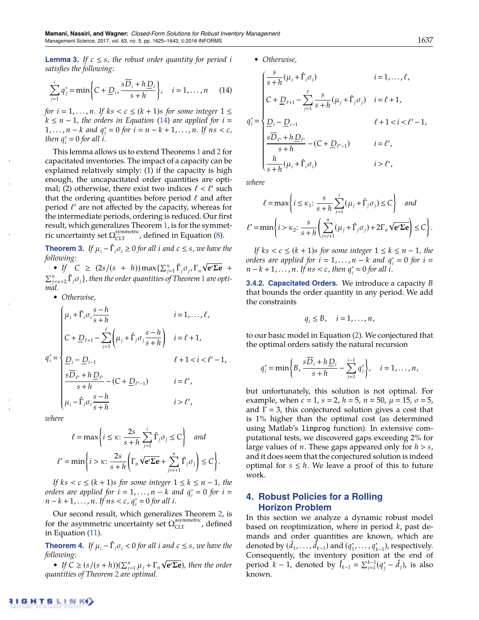**Lemma 3.** If  $c \leq s$ , the robust order quantity for period *i satisfies the following:*

$$
\sum_{j=1}^{i} q_j^* = \min\left\{C + \underline{D}_i, \frac{s\overline{D}_i + h\underline{D}_i}{s+h}\right\}, \quad i = 1, \dots, n \quad (14)
$$

*for*  $i = 1, \ldots, n$ *. If*  $ks < c \leq (k + 1)s$  *for some integer*  $1 \leq$  $k \leq n-1$ , the orders in Equation (14) are applied for  $i =$  $1, \ldots, n-k$  and  $q_i^* = 0$  for  $i = n - k + 1, \ldots, n$ . If  $ns < c$ , *then*  $q_i^* = 0$  *for all i*.

This lemma allows us to extend Theorems 1 and 2 for capacitated inventories. The impact of a capacity can be explained relatively simply: (1) if the capacity is high enough, the uncapacitated order quantities are optimal; (2) otherwise, there exist two indices  $\ell < \ell'$  such that the ordering quantities before period  $\ell$  and after period  $\ell'$  are not affected by the capacity, whereas for the intermediate periods, ordering is reduced. Our first result, which generalizes Theorem 1, is for the symmetric uncertainty set  $\Omega_{CLT}^{symmetric}$ , defined in Equation (8).

**Theorem 3.** If  $\mu_i - \hat{\Gamma}_i \sigma_i \geq 0$  for all *i* and  $c \leq s$ , we have the *following:*

• If  $C \geq (2s/(s + h)) \max\{\sum_{j=1}^{k} \hat{\Gamma}_j \sigma_j, \Gamma_n \sqrt{e^{\prime} \Sigma e} +$  $\sum_{j=\kappa+2}^{n}\hat{\Gamma}_{j}\sigma_{j}\}$ , then the order quantities of Theorem 1 are opti*mal.*

• *Otherwise,*

$$
q_{i}^{*} = \begin{cases} \mu_{i} + \hat{\Gamma}_{i}\sigma_{i}\frac{s-h}{s+h} & i = 1,..., \ell, \\ C + \underline{D}_{\ell+1} - \sum_{j=1}^{\ell} \left(\mu_{j} + \hat{\Gamma}_{j}\sigma_{j}\frac{s-h}{s+h}\right) & i = \ell+1, \\ \frac{\underline{D}_{i} - \underline{D}_{i-1}}{s\overline{D}_{\ell'} + h\underline{D}_{\ell'}} - (C + \underline{D}_{\ell'-1}) & i = \ell', \\ \mu_{i} - \hat{\Gamma}_{i}\sigma_{i}\frac{s-h}{s+h} & i > \ell', \end{cases}
$$

*where*

$$
\ell = \max \left\{ i \le \kappa \colon \frac{2s}{s+h} \sum_{j=1}^{i} \hat{\Gamma}_j \sigma_j \le C \right\} \text{ and}
$$

$$
\ell' = \min \left\{ i > \kappa \colon \frac{2s}{s+h} \left( \Gamma_n \sqrt{\mathbf{e}' \Sigma \mathbf{e}} + \sum_{j=i+1}^{n} \hat{\Gamma}_j \sigma_j \right) \le C \right\}.
$$

*If*  $ks < c \leq (k + 1)s$  *for some integer*  $1 \leq k \leq n - 1$ *, the orders are applied for*  $i = 1, ..., n - k$  *and*  $q_i^* = 0$  *for*  $i =$  $n - k + 1, \ldots, n$ *. If*  $ns < c$ *,*  $q_i^* = 0$  *for all i.* 

Our second result, which generalizes Theorem 2, is for the asymmetric uncertainty set  $\Omega_{\text{CLT}}^{\text{asymmetric}}$ , defined in Equation (11).

**Theorem 4.** If  $\mu_i - \hat{\Gamma}_i \sigma_i < 0$  for all *i* and  $c \leq s$ , we have the *following:*

• If  $C \geq (s/(s+h))(\sum_{j=1}^n \mu_j + \Gamma_n \sqrt{e^{\prime} \Sigma e})$ , then the order *quantities of Theorem 2 are optimal.*

• *Otherwise,*

$$
q_i^* = \begin{cases} \frac{s}{s+h}(\mu_i + \hat{\Gamma}_i \sigma_i) & i = 1, ..., \ell, \\ C + \underline{D}_{\ell+1} - \sum_{j=1}^{\ell} \frac{s}{s+h}(\mu_j + \hat{\Gamma}_j \sigma_j) & i = \ell + 1, \\ \underline{D}_i - \underline{D}_{i-1} & \ell + 1 < i < \ell' - 1, \\ \frac{s\overline{D}_{\ell'} + h\underline{D}_{\ell'}}{s+h} - (C + \underline{D}_{\ell'-1}) & i = \ell', \\ \frac{h}{s+h}(\mu_i + \hat{\Gamma}_i \sigma_i) & i > \ell', \end{cases}
$$

*where*

$$
\ell = \max \left\{ i \le \kappa_1 : \frac{s}{s+h} \sum_{j=1}^i (\mu_j + \hat{\Gamma}_j \sigma_j) \le C \right\} \text{ and}
$$

$$
\ell' = \min \left\{ i > \kappa_2 : \frac{s}{s+h} \left( \sum_{j=i+1}^n (\mu_j + \hat{\Gamma}_j \sigma_j) + 2\Gamma_n \sqrt{\mathbf{e}' \Sigma \mathbf{e}} \right) \le C \right\}.
$$

*If*  $ks < c \leq (k + 1)s$  *for some integer*  $1 \leq k \leq n - 1$ *, the orders are applied for*  $i = 1, ..., n - k$  *and*  $q_i^* = 0$  *for*  $i =$  $n - k + 1, \ldots, n$ *. If*  $ns < c$ *, then*  $q_i^* = 0$  *for all i.* 

**3.4.2. Capacitated Orders.** We introduce a capacity *B* that bounds the order quantity in any period. We add the constraints

$$
q_i\leq B, \quad i=1,\cdots,n\,,
$$

to our basic model in Equation (2). We conjectured that the optimal orders satisfy the natural recursion

$$
q_i^* = \min\bigg\{B, \frac{s\overline{D}_i + h\underline{D}_i}{s+h} - \sum_{j=1}^{i-1} q_j^*\bigg\}, \quad i = 1, \ldots, n,
$$

but unfortunately, this solution is not optimal. For example, when  $c = 1$ ,  $s = 2$ ,  $h = 5$ ,  $n = 50$ ,  $\mu = 15$ ,  $\sigma = 5$ , and  $\Gamma = 3$ , this conjectured solution gives a cost that is 1% higher than the optimal cost (as determined using Matlab's linprog function). In extensive computational tests, we discovered gaps exceeding 2% for large values of *n*. These gaps appeared only for *h* > *s*, and it does seem that the conjectured solution is indeed optimal for  $s \leq h$ . We leave a proof of this to future work.

# **4. Robust Policies for a Rolling Horizon Problem**

In this section we analyze a dynamic robust model based on reoptimization, where in period *k*, past demands and order quantities are known, which are denoted by  $(\hat{d}_1, \ldots, \hat{d}_{k-1})$  and  $(q_1^*, \ldots, q_{k-1}^*)$ , respectively. Consequently, the inventory position at the end of period  $k - 1$ , denoted by  $\hat{I}_{k-1}^{\prime} = \sum_{j=1}^{k-1} (q_j^* - \hat{d}_j)$ , is also known.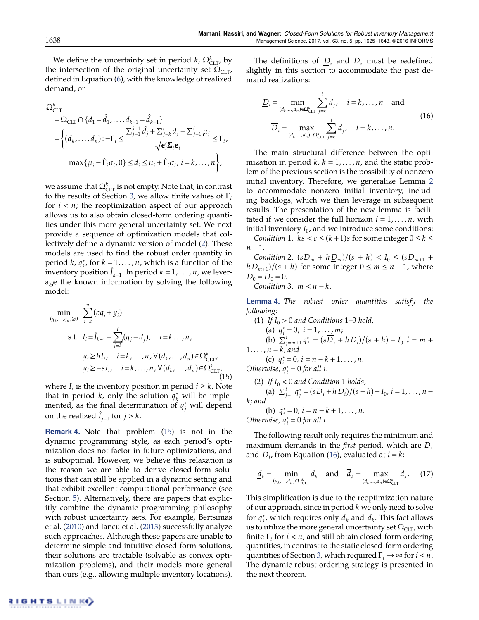We define the uncertainty set in period  $k$ ,  $\Omega_{\text{CLT}}^k$ , by the intersection of the original uncertainty set  $\Omega_{CLT}$ , defined in Equation (6), with the knowledge of realized demand, or

$$
\Omega_{\text{CLT}}^{k} = \Omega_{\text{CLT}} \cap \{d_1 = \hat{d}_1, ..., d_{k-1} = \hat{d}_{k-1}\}\
$$
\n
$$
= \left\{ (d_k, ..., d_n) : -\Gamma_i \le \frac{\sum_{j=1}^{k-1} \hat{d}_j + \sum_{j=k}^{i} d_j - \sum_{j=1}^{i} \mu_j}{\sqrt{\mathbf{e}_i^{\prime} \Sigma_i \mathbf{e}_i}} \le \Gamma_i,
$$
\n
$$
\max\{\mu_i - \hat{\Gamma}_i \sigma_i, 0\} \le d_i \le \mu_i + \hat{\Gamma}_i \sigma_i, i = k, ..., n \right\};
$$

we assume that  $\Omega_{\rm CLT}^k$  is not empty. Note that, in contrast to the results of Section 3, we allow finite values of  $\Gamma_i$ for  $i < n$ ; the reoptimization aspect of our approach allows us to also obtain closed-form ordering quantities under this more general uncertainty set. We next provide a sequence of optimization models that collectively define a dynamic version of model (2). These models are used to find the robust order quantity in period *k*,  $q_k^*$ , for  $k = 1, ..., n$ , which is a function of the inventory position  $\hat{I}_{k-1}$ . In period  $k = 1, \ldots, n$ , we leverage the known information by solving the following model:

$$
\min_{(q_k, ..., q_n) \ge 0} \sum_{i=k}^{n} (cq_i + y_i)
$$
\n
$$
\text{s.t. } I_i = \hat{I}_{k-1} + \sum_{j=k}^{i} (q_j - d_j), \quad i = k... , n ,
$$
\n
$$
y_i \ge h I_i, \quad i = k,... , n, \forall (d_k, ..., d_n) \in \Omega_{CLT}^k,
$$
\n
$$
y_i \ge -s I_i, \quad i = k,... , n, \forall (d_k, ..., d_n) \in \Omega_{CLT}^k
$$
\n(15)

where  $I_i$  is the inventory position in period  $i \geq k$ . Note that in period *k*, only the solution  $q_k^*$  will be implemented, as the final determination of  $q_j^*$  will depend on the realized  $\hat{I}_{i-1}$  for  $j > k$ .

**Remark 4.** Note that problem (15) is not in the dynamic programming style, as each period's optimization does not factor in future optimizations, and is suboptimal. However, we believe this relaxation is the reason we are able to derive closed-form solutions that can still be applied in a dynamic setting and that exhibit excellent computational performance (see Section 5). Alternatively, there are papers that explicitly combine the dynamic programming philosophy with robust uncertainty sets. For example, Bertsimas et al. (2010) and Iancu et al. (2013) successfully analyze such approaches. Although these papers are unable to determine simple and intuitive closed-form solutions, their solutions are tractable (solvable as convex optimization problems), and their models more general than ours (e.g., allowing multiple inventory locations).

The definitions of  $D_i$  and  $\overline{D}_i$  must be redefined slightly in this section to accommodate the past demand realizations:

$$
\underline{D}_{i} = \min_{\substack{(d_{k}, \dots, d_{n}) \in \Omega_{\text{CLT}}^{k} \\ d_{j} \neq 0}} \sum_{j=k}^{i} d_{j}, \quad i = k, \dots, n \quad \text{and}
$$
\n
$$
\overline{D}_{i} = \max_{\substack{(d_{k}, \dots, d_{n}) \in \Omega_{\text{CLT}}^{k} \\ d_{j} \neq k}} \sum_{j=k}^{i} d_{j}, \quad i = k, \dots, n.
$$
\n(16)

The main structural difference between the optimization in period  $k, k = 1, \ldots, n$ , and the static problem of the previous section is the possibility of nonzero initial inventory. Therefore, we generalize Lemma 2 to accommodate nonzero initial inventory, including backlogs, which we then leverage in subsequent results. The presentation of the new lemma is facilitated if we consider the full horizon  $i = 1, \ldots, n$ , with initial inventory  $I_0$ , and we introduce some conditions:

*Condition* 1.  $ks < c \leq (k+1)s$  for some integer  $0 \leq k \leq k$  $n - 1$ .

*Condition* 2.  $(sD_m + hD_m)/(s + h) < I_0 \le (sD_{m+1} + hD_m)$  $h\underline{D}_{m+1}$ /(*s* + *h*) for some integer  $0 \le m \le n - 1$ , where  $D_0 = \overline{D}_0 = 0.$ 

*Condition* 3.  $m < n - k$ .

**Lemma 4.** *The robust order quantities satisfy the following:*

(1) If 
$$
I_0 > 0
$$
 and Conditions 1–3 hold,  
\n(a)  $q_i^* = 0$ ,  $i = 1, ..., m$ ;  
\n(b)  $\sum_{j=m+1}^{i} q_j^* = (s\overline{D}_i + h\underline{D}_i)/(s + h) - I_0$   $i = m +$   
\n1,...,  $n - k$ ; and  
\n(c)  $q_i^* = 0$ ,  $i = n - k + 1, ..., n$ .

*Otherwise*,  $q_i^* = 0$  *for all i.* 

(2) If  $I_0 < 0$  and Condition 1 holds,

(a)  $\sum_{j=1}^{i} q_j^* = (s\overline{D}_i + h\underline{D}_i)/(s+h) - I_0$ ,  $i = 1, ..., n - I_0$ *k*; *and*

(b)  $q_i^* = 0$ ,  $i = n - k + 1, ..., n$ .

*Otherwise*,  $q_i^* = 0$  *for all i.* 

The following result only requires the minimum and maximum demands in the *first* period, which are *Di* and  $D_i$ , from Equation (16), evaluated at  $i = k$ :

$$
\underline{d}_k = \min_{(d_k, \dots, d_n) \in \Omega_{\text{CLT}}^k} d_k \quad \text{and} \quad \overline{d}_k = \max_{(d_k, \dots, d_n) \in \Omega_{\text{CLT}}^k} d_k. \tag{17}
$$

This simplification is due to the reoptimization nature of our approach, since in period *k* we only need to solve for  $q_{k'}^*$ , which requires only  $d_k$  and  $\underline{d}_k$ . This fact allows us to utilize the more general uncertainty set  $\Omega_{CLT}$ , with finite  $\Gamma$ <sub>*i*</sub> for *i* < *n*, and still obtain closed-form ordering quantities, in contrast to the static closed-form ordering quantities of Section 3, which required  $\Gamma_i \rightarrow \infty$  for  $i < n$ . The dynamic robust ordering strategy is presented in the next theorem.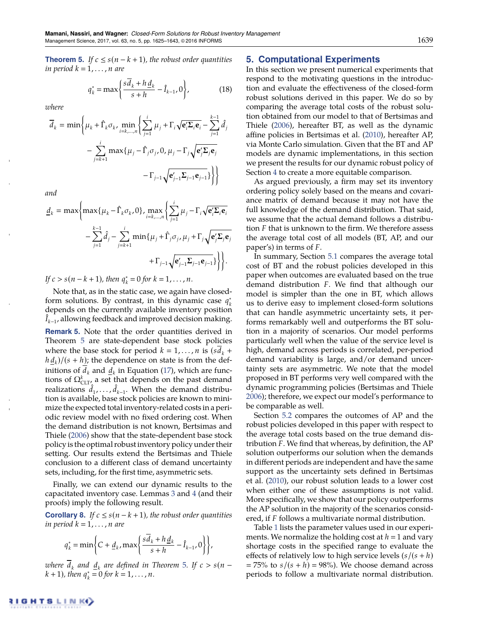**Theorem 5.** *If*  $c \leq s(n-k+1)$ *, the robust order quantities in period*  $k = 1, \ldots, n$  *are* 

$$
q_k^* = \max\left\{\frac{s\overline{d}_k + h\underline{d}_k}{s+h} - \hat{I}_{k-1}, 0\right\},\tag{18}
$$

*where*

$$
\overline{d}_k = \min \left\{ \mu_k + \widehat{\Gamma}_k \sigma_k, \min_{i=k,\dots,n} \left\{ \sum_{j=1}^i \mu_j + \Gamma_i \sqrt{\mathbf{e}_i^{\prime} \Sigma_i \mathbf{e}_i} - \sum_{j=1}^{k-1} \widehat{d}_j \right. \right. \\ \left. - \sum_{j=k+1}^i \max \{ \mu_j - \widehat{\Gamma}_j \sigma_j, 0, \mu_j - \Gamma_j \sqrt{\mathbf{e}_j^{\prime} \Sigma_j \mathbf{e}_j} - \Gamma_{j-1} \sqrt{\mathbf{e}_j^{\prime} \Sigma_j \mathbf{e}_j} - \Gamma_{j-1} \sqrt{\mathbf{e}_j^{\prime} \Sigma_j \mathbf{e}_{j-1}} \right\} \right\}
$$

*and*

$$
\underline{d}_k = \max \bigg\{ \max \{ \mu_k - \hat{\Gamma}_k \sigma_k, 0 \}, \max_{i=k,\dots,n} \bigg\{ \sum_{j=1}^i \mu_j - \Gamma_i \sqrt{\mathbf{e}_i^{\prime} \Sigma_i \mathbf{e}_i} - \sum_{j=1}^{k-1} \hat{d}_j - \sum_{j=k+1}^i \min \{ \mu_j + \hat{\Gamma}_j \sigma_j, \mu_j + \Gamma_j \sqrt{\mathbf{e}_j^{\prime} \Sigma_j \mathbf{e}_j} + \Gamma_{j-1} \sqrt{\mathbf{e}_{j-1}^{\prime} \Sigma_{j-1} \mathbf{e}_{j-1}} \} \bigg\} \bigg\}.
$$

*If*  $c > s(n - k + 1)$ *, then*  $q_k^* = 0$  *for*  $k = 1, ..., n$ *.* 

Note that, as in the static case, we again have closedform solutions. By contrast, in this dynamic case  $q_k^*$ depends on the currently available inventory position  $I_{k-1}$ , allowing feedback and improved decision making. **Remark 5.** Note that the order quantities derived in Theorem 5 are state-dependent base stock policies where the base stock for period  $k = 1, \ldots, n$  is  $(s d_k +$  $h d_k$ )/( $s + h$ ); the dependence on state is from the definitions of  $d_k$  and  $\underline{d}_k$  in Equation (17), which are functions of  $\Omega_{CLT}^k$  a set that depends on the past demand realizations  $\hat{d}_1, \ldots, \hat{d}_{k-1}$ . When the demand distribution is available, base stock policies are known to minimize the expected total inventory-related costs in a periodic review model with no fixed ordering cost. When the demand distribution is not known, Bertsimas and Thiele (2006) show that the state-dependent base stock policy is the optimal robustinventory policy under their setting. Our results extend the Bertsimas and Thiele conclusion to a different class of demand uncertainty sets, including, for the first time, asymmetric sets.

Finally, we can extend our dynamic results to the capacitated inventory case. Lemmas 3 and 4 (and their proofs) imply the following result.

**Corollary 8.** *If*  $c \leq s(n-k+1)$ *, the robust order quantities in period*  $k = 1, \ldots, n$  *are* 

$$
q_k^* = \min\bigg\{C + \underline{d}_k, \max\bigg\{\frac{s\overline{d}_k + h\underline{d}_k}{s+h} - \hat{I}_{k-1}, 0\bigg\}\bigg\},\
$$

*where*  $\overline{d}_k$  *and*  $\underline{d}_k$  *are defined in Theorem 5. If*  $c > s(n - 1)$  $k + 1$ *), then*  $q_k^* = 0$  *for*  $k = 1, ..., n$ .

## **5. Computational Experiments**

In this section we present numerical experiments that respond to the motivating questions in the introduction and evaluate the effectiveness of the closed-form robust solutions derived in this paper. We do so by comparing the average total costs of the robust solution obtained from our model to that of Bertsimas and Thiele (2006), hereafter BT, as well as the dynamic affine policies in Bertsimas et al. (2010), hereafter AP, via Monte Carlo simulation. Given that the BT and AP models are dynamic implementations, in this section we present the results for our dynamic robust policy of Section 4 to create a more equitable comparison.

As argued previously, a firm may set its inventory ordering policy solely based on the means and covariance matrix of demand because it may not have the full knowledge of the demand distribution. That said, we assume that the actual demand follows a distribution *F* that is unknown to the firm. We therefore assess the average total cost of all models (BT, AP, and our paper's) in terms of *F*.

In summary, Section 5.1 compares the average total cost of BT and the robust policies developed in this paper when outcomes are evaluated based on the true demand distribution *F*. We find that although our model is simpler than the one in BT, which allows us to derive easy to implement closed-form solutions that can handle asymmetric uncertainty sets, it performs remarkably well and outperforms the BT solution in a majority of scenarios. Our model performs particularly well when the value of the service level is high, demand across periods is correlated, per-period demand variability is large, and/or demand uncertainty sets are asymmetric. We note that the model proposed in BT performs very well compared with the dynamic programming policies (Bertsimas and Thiele 2006); therefore, we expect our model's performance to be comparable as well.

Section 5.2 compares the outcomes of AP and the robust policies developed in this paper with respect to the average total costs based on the true demand distribution *F*. We find that whereas, by definition, the AP solution outperforms our solution when the demands in different periods are independent and have the same support as the uncertainty sets defined in Bertsimas et al. (2010), our robust solution leads to a lower cost when either one of these assumptions is not valid. More specifically, we show that our policy outperforms the AP solution in the majority of the scenarios considered, if *F* follows a multivariate normal distribution.

Table 1 lists the parameter values used in our experiments. We normalize the holding cost at  $h = 1$  and vary shortage costs in the specified range to evaluate the effects of relatively low to high service levels  $(s/(s + h))$  $= 75\%$  to  $s/(s + h) = 98\%$ . We choose demand across periods to follow a multivariate normal distribution.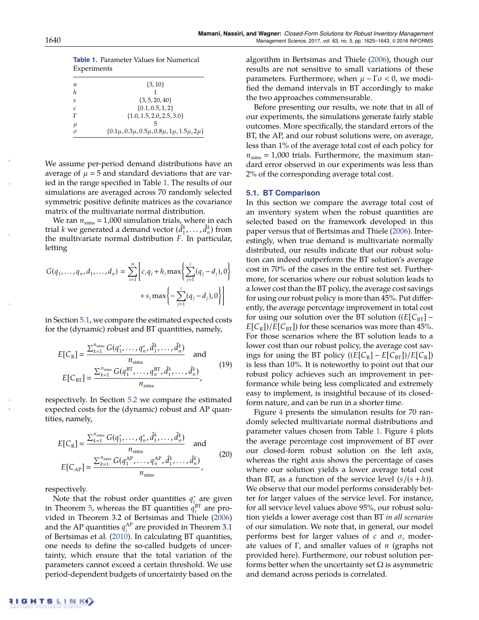| Experiments |                                                                                  |
|-------------|----------------------------------------------------------------------------------|
| п           | $\{3, 10\}$                                                                      |
| h           |                                                                                  |
| S           | $\{3, 5, 20, 40\}$                                                               |
| C           | $\{0.1, 0.5, 1, 2\}$                                                             |
|             | $\{1.0, 1.5, 2.0, 2.5, 3.0\}$                                                    |
| μ           |                                                                                  |
| σ           | $\{0.1\mu$ , 0.3 $\mu$ , 0.5 $\mu$ , 0.8 $\mu$ , 1 $\mu$ , 1.5 $\mu$ , 2 $\mu\}$ |

**Table 1.** Parameter Values for Numerical Experience on to

We assume per-period demand distributions have an average of  $\mu$  = 5 and standard deviations that are varied in the range specified in Table 1. The results of our simulations are averaged across 70 randomly selected symmetric positive definite matrices as the covariance matrix of the multivariate normal distribution.

We ran  $n_{\rm sims} = 1,000$  simulation trials, where in each trial *k* we generated a demand vector  $(\hat{d}_1^k, \dots, \hat{d}_n^k)$  from the multivariate normal distribution *F*. In particular, letting

$$
G(q_1, ..., q_n, d_1, ..., d_n) = \sum_{i=1}^n \left[ c_i q_i + h_i \max \left\{ \sum_{j=1}^i (q_j - d_j), 0 \right\} + s_i \max \left\{ - \sum_{j=1}^i (q_j - d_j), 0 \right\} \right]
$$

in Section 5.1, we compare the estimated expected costs for the (dynamic) robust and BT quantities, namely,

$$
E[C_{\rm R}] = \frac{\sum_{k=1}^{n_{\rm sims}} G(q_1^*, \dots, q_n^*, \hat{d}_1^k, \dots, \hat{d}_n^k)}{n_{\rm sims}} \quad \text{and}
$$
\n
$$
E[C_{\rm BT}] = \frac{\sum_{k=1}^{n_{\rm sims}} G(q_1^{\rm BT}, \dots, q_n^{\rm BT}, \hat{d}_1^k, \dots, \hat{d}_n^k)}{n_{\rm sims}},
$$
\n(19)

respectively. In Section 5.2 we compare the estimated expected costs for the (dynamic) robust and AP quantities, namely,

$$
E[C_{\rm R}] = \frac{\sum_{k=1}^{n_{\rm sims}} G(q_1^*, \dots, q_n^*, \hat{d}_1^k, \dots, \hat{d}_n^k)}{n_{\rm sims}} \quad \text{and}
$$
\n
$$
E[C_{\rm AP}] = \frac{\sum_{k=1}^{n_{\rm sims}} G(q_1^{\rm AP}, \dots, q_n^{\rm AP}, \hat{d}_1^k, \dots, \hat{d}_n^k)}{n_{\rm sims}},
$$
\n(20)

respectively.

Note that the robust order quantities  $q_{i}^*$  are given in Theorem 5, whereas the BT quantities  $q_i^{BT}$  are provided in Theorem 3.2 of Bertsimas and Thiele (2006) and the AP quantities  $q_i^{\text{AP}}$  are provided in Theorem 3.1 of Bertsimas et al. (2010). In calculating BT quantities, one needs to define the so-called budgets of uncertainty, which ensure that the total variation of the parameters cannot exceed a certain threshold. We use period-dependent budgets of uncertainty based on the algorithm in Bertsimas and Thiele (2006), though our results are not sensitive to small variations of these parameters. Furthermore, when  $\mu - \Gamma \sigma < 0$ , we modified the demand intervals in BT accordingly to make the two approaches commensurable.

Before presenting our results, we note that in all of our experiments, the simulations generate fairly stable outcomes. More specifically, the standard errors of the BT, the AP, and our robust solutions were, on average, less than 1% of the average total cost of each policy for  $n_{\rm sims} = 1,000$  trials. Furthermore, the maximum standard error observed in our experiments was less than 2% of the corresponding average total cost.

#### **5.1. BT Comparison**

In this section we compare the average total cost of an inventory system when the robust quantities are selected based on the framework developed in this paper versus that of Bertsimas and Thiele (2006). Interestingly, when true demand is multivariate normally distributed, our results indicate that our robust solution can indeed outperform the BT solution's average cost in 70% of the cases in the entire test set. Furthermore, for scenarios where our robust solution leads to a lower cost than the BT policy, the average cost savings for using our robust policy is more than 45%. Put differently, the average percentage improvement in total cost for using our solution over the BT solution  $((E[C_{BT}] E[C_{\rm R}]/E[C_{\rm BT}]$ ) for these scenarios was more than 45%. For those scenarios where the BT solution leads to a lower cost than our robust policy, the average cost savings for using the BT policy  $((E[C_R] - E[C_{BT}])/E[C_R])$ is less than 10%. It is noteworthy to point out that our robust policy achieves such an improvement in performance while being less complicated and extremely easy to implement, is insightful because of its closedform nature, and can be run in a shorter time.

Figure 4 presents the simulation results for 70 randomly selected multivariate normal distributions and parameter values chosen from Table 1. Figure 4 plots the average percentage cost improvement of BT over our closed-form robust solution on the left axis, whereas the right axis shows the percentage of cases where our solution yields a lower average total cost than BT, as a function of the service level  $(s/(s+h))$ . We observe that our model performs considerably better for larger values of the service level. For instance, for all service level values above 95%, our robust solution yields a lower average cost than BT *in all scenarios* of our simulation. We note that, in general, our model performs best for larger values of  $c$  and  $\sigma$ , moderate values of  $\Gamma$ , and smaller values of  $n$  (graphs not provided here). Furthermore, our robust solution performs better when the uncertainty set  $\Omega$  is asymmetric and demand across periods is correlated.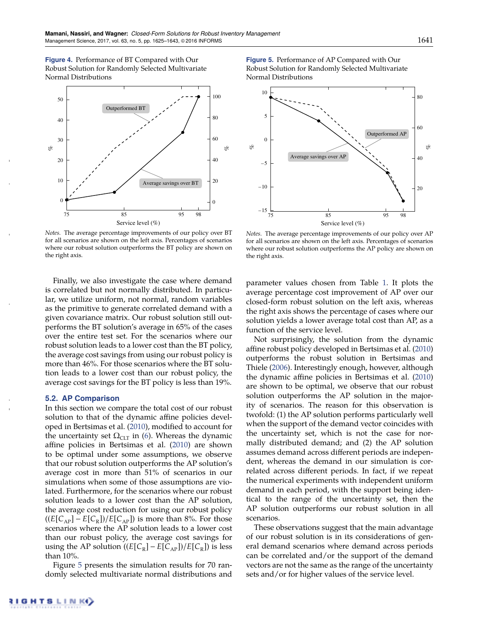

*Notes.* The average percentage improvements of our policy over BT for all scenarios are shown on the left axis. Percentages of scenarios where our robust solution outperforms the BT policy are shown on the right axis.

Finally, we also investigate the case where demand is correlated but not normally distributed. In particular, we utilize uniform, not normal, random variables as the primitive to generate correlated demand with a given covariance matrix. Our robust solution still outperforms the BT solution's average in 65% of the cases over the entire test set. For the scenarios where our robust solution leads to a lower cost than the BT policy, the average cost savings from using our robust policy is more than 46%. For those scenarios where the BT solution leads to a lower cost than our robust policy, the average cost savings for the BT policy is less than 19%.

#### **5.2. AP Comparison**

In this section we compare the total cost of our robust solution to that of the dynamic affine policies developed in Bertsimas et al. (2010), modified to account for the uncertainty set  $\Omega_{CLT}$  in (6). Whereas the dynamic affine policies in Bertsimas et al. (2010) are shown to be optimal under some assumptions, we observe that our robust solution outperforms the AP solution's average cost in more than 51% of scenarios in our simulations when some of those assumptions are violated. Furthermore, for the scenarios where our robust solution leads to a lower cost than the AP solution, the average cost reduction for using our robust policy  $((E[C_{AP}] - E[C_{R}])/E[C_{AP}])$  is more than 8%. For those scenarios where the AP solution leads to a lower cost than our robust policy, the average cost savings for using the AP solution  $((E[C_R] - E[C_{AP}])/E[C_R])$  is less than 10%.

Figure 5 presents the simulation results for 70 randomly selected multivariate normal distributions and **Figure 5.** Performance of AP Compared with Our Robust Solution for Randomly Selected Multivariate Normal Distributions



*Notes.* The average percentage improvements of our policy over AP for all scenarios are shown on the left axis. Percentages of scenarios where our robust solution outperforms the AP policy are shown on the right axis.

parameter values chosen from Table 1. It plots the average percentage cost improvement of AP over our closed-form robust solution on the left axis, whereas the right axis shows the percentage of cases where our solution yields a lower average total cost than AP, as a function of the service level.

Not surprisingly, the solution from the dynamic affine robust policy developed in Bertsimas et al. (2010) outperforms the robust solution in Bertsimas and Thiele (2006). Interestingly enough, however, although the dynamic affine policies in Bertsimas et al. (2010) are shown to be optimal, we observe that our robust solution outperforms the AP solution in the majority of scenarios. The reason for this observation is twofold: (1) the AP solution performs particularly well when the support of the demand vector coincides with the uncertainty set, which is not the case for normally distributed demand; and (2) the AP solution assumes demand across different periods are independent, whereas the demand in our simulation is correlated across different periods. In fact, if we repeat the numerical experiments with independent uniform demand in each period, with the support being identical to the range of the uncertainty set, then the AP solution outperforms our robust solution in all scenarios.

These observations suggest that the main advantage of our robust solution is in its considerations of general demand scenarios where demand across periods can be correlated and/or the support of the demand vectors are not the same as the range of the uncertainty sets and/or for higher values of the service level.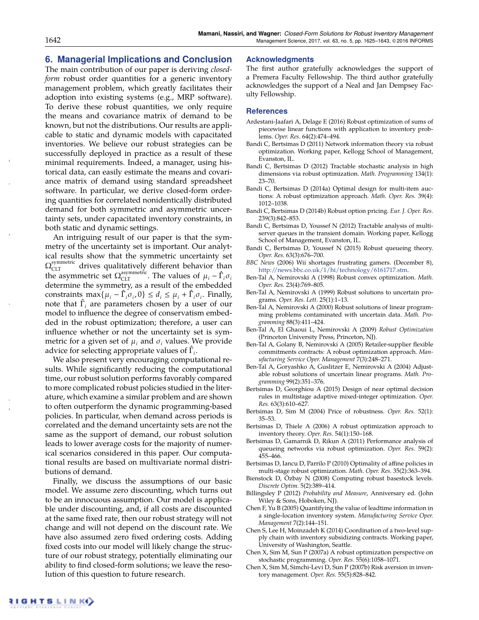# **6. Managerial Implications and Conclusion**

The main contribution of our paper is deriving *closedform* robust order quantities for a generic inventory management problem, which greatly facilitates their adoption into existing systems (e.g., MRP software). To derive these robust quantities, we only require the means and covariance matrix of demand to be known, but not the distributions. Our results are applicable to static and dynamic models with capacitated inventories. We believe our robust strategies can be successfully deployed in practice as a result of these minimal requirements. Indeed, a manager, using historical data, can easily estimate the means and covariance matrix of demand using standard spreadsheet software. In particular, we derive closed-form ordering quantities for correlated nonidentically distributed demand for both symmetric and asymmetric uncertainty sets, under capacitated inventory constraints, in both static and dynamic settings.

An intriguing result of our paper is that the symmetry of the uncertainty set is important. Our analytical results show that the symmetric uncertainty set  $\Omega_{\rm CLT}^{\rm symmetric}$  drives qualitatively different behavior than the asymmetric set  $\Omega_{CLT}^{\text{asymmetric}}$ . The values of  $\mu_i - \hat{\Gamma}_i \sigma_i$ determine the symmetry, as a result of the embedded constraints  $\max\{\mu_i - \hat{\Gamma}_i \sigma_i, 0\} \le d_i \le \mu_i + \hat{\Gamma}_i \sigma_i$ . Finally, note that  $\hat{\Gamma}_i$  are parameters chosen by a user of our model to influence the degree of conservatism embedded in the robust optimization; therefore, a user can influence whether or not the uncertainty set is symmetric for a given set of  $\mu_i$  and  $\sigma_i$  values. We provide advice for selecting appropriate values of  $\hat{\Gamma}_i$ .

We also present very encouraging computational results. While significantly reducing the computational time, our robust solution performs favorably compared to more complicated robust policies studied in the literature, which examine a similar problem and are shown to often outperform the dynamic programming-based policies. In particular, when demand across periods is correlated and the demand uncertainty sets are not the same as the support of demand, our robust solution leads to lower average costs for the majority of numerical scenarios considered in this paper. Our computational results are based on multivariate normal distributions of demand.

Finally, we discuss the assumptions of our basic model. We assume zero discounting, which turns out to be an innocuous assumption. Our model is applicable under discounting, and, if all costs are discounted at the same fixed rate, then our robust strategy will not change and will not depend on the discount rate. We have also assumed zero fixed ordering costs. Adding fixed costs into our model will likely change the structure of our robust strategy, potentially eliminating our ability to find closed-form solutions; we leave the resolution of this question to future research.

#### **Acknowledgments**

The first author gratefully acknowledges the support of a Premera Faculty Fellowship. The third author gratefully acknowledges the support of a Neal and Jan Dempsey Faculty Fellowship.

#### **References**

- Ardestani-Jaafari A, Delage E (2016) Robust optimization of sums of piecewise linear functions with application to inventory problems. *Oper. Res.* 64(2):474–494.
- Bandi C, Bertsimas D (2011) Network information theory via robust optimization. Working paper, Kellogg School of Management, Evanston, IL.
- Bandi C, Bertsimas D (2012) Tractable stochastic analysis in high dimensions via robust optimization. *Math. Programming* 134(1): 23–70.
- Bandi C, Bertsimas D (2014a) Optimal design for multi-item auctions: A robust optimization approach. *Math. Oper. Res.* 39(4): 1012–1038.
- Bandi C, Bertsimas D (2014b) Robust option pricing. *Eur. J. Oper. Res.* 239(3):842–853.
- Bandi C, Bertsimas D, Youssef N (2012) Tractable analysis of multiserver queues in the transient domain. Working paper, Kellogg School of Management, Evanston, IL.
- Bandi C, Bertsimas D, Youssef N (2015) Robust queueing theory. *Oper. Res.* 63(3):676–700.
- *BBC News* (2006) Wii shortages frustrating gamers. (December 8), http://news.bbc.co.uk/1/hi/technology/6161717.stm.
- Ben-Tal A, Nemirovski A (1998) Robust convex optimization. *Math. Oper. Res.* 23(4):769–805.
- Ben-Tal A, Nemirovski A (1999) Robust solutions to uncertain programs. *Oper. Res. Lett.* 25(1):1–13.
- Ben-Tal A, Nemirovski A (2000) Robust solutions of linear programming problems contaminated with uncertain data. *Math. Programming* 88(3):411–424.
- Ben-Tal A, El Ghaoui L, Nemirovski A (2009) *Robust Optimization* (Princeton University Press, Princeton, NJ).
- Ben-Tal A, Golany B, Nemirovski A (2005) Retailer-supplier flexible commitments contracts: A robust optimization approach. *Manufacturing Service Oper. Management* 7(3):248–271.
- Ben-Tal A, Goryashko A, Guslitzer E, Nemirovski A (2004) Adjustable robust solutions of uncertain linear programs. *Math. Programming* 99(2):351–376.
- Bertsimas D, Georghiou A (2015) Design of near optimal decision rules in multistage adaptive mixed-integer optimization. *Oper. Res.* 63(3):610–627.
- Bertsimas D, Sim M (2004) Price of robustness. *Oper. Res.* 52(1): 35–53.
- Bertsimas D, Thiele A (2006) A robust optimization approach to inventory theory. *Oper. Res.* 54(1):150–168.
- Bertsimas D, Gamarnik D, Rikun A (2011) Performance analysis of queueing networks via robust optimization. *Oper. Res.* 59(2): 455–466.
- Bertsimas D, Iancu D, Parrilo P (2010) Optimality of affine policies in multi-stage robust optimization. *Math. Oper. Res.* 35(2):363–394.
- Bienstock D, Özbay N (2008) Computing robust basestock levels. *Discrete Optim.* 5(2):389–414.
- Billingsley P (2012) *Probability and Measure*, Anniversary ed. (John Wiley & Sons, Hoboken, NJ).
- Chen F, Yu B (2005) Quantifying the value of leadtime information in a single-location inventory system. *Manufacturing Service Oper. Management* 7(2):144–151.
- Chen S, Lee H, Moinzadeh K (2014) Coordination of a two-level supply chain with inventory subsidizing contracts. Working paper, University of Washington, Seattle.
- Chen X, Sim M, Sun P (2007a) A robust optimization perspective on stochastic programming. *Oper. Res.* 55(6):1058–1071.
- Chen X, Sim M, Simchi-Levi D, Sun P (2007b) Risk aversion in inventory management. *Oper. Res.* 55(5):828–842.